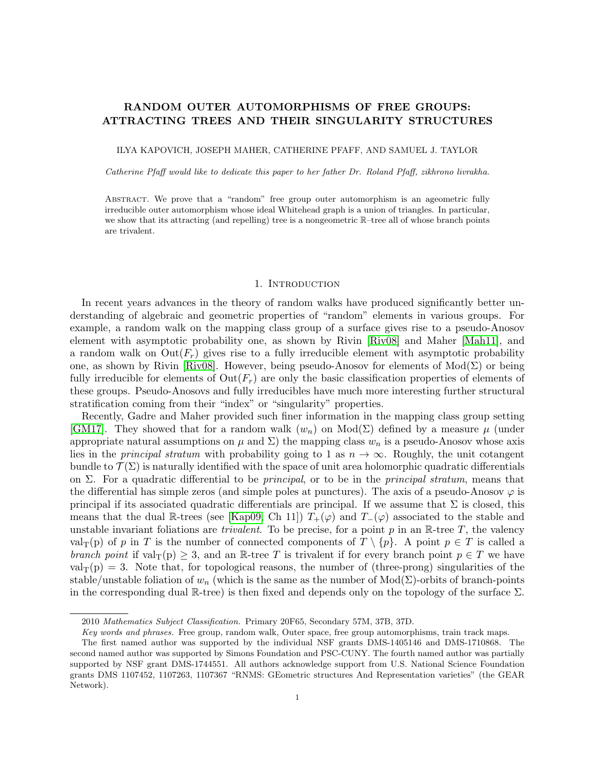# <span id="page-0-0"></span>RANDOM OUTER AUTOMORPHISMS OF FREE GROUPS: ATTRACTING TREES AND THEIR SINGULARITY STRUCTURES

ILYA KAPOVICH, JOSEPH MAHER, CATHERINE PFAFF, AND SAMUEL J. TAYLOR

Catherine Pfaff would like to dedicate this paper to her father Dr. Roland Pfaff, zikhrono livrakha.

ABSTRACT. We prove that a "random" free group outer automorphism is an ageometric fully irreducible outer automorphism whose ideal Whitehead graph is a union of triangles. In particular, we show that its attracting (and repelling) tree is a nongeometric R–tree all of whose branch points are trivalent.

### 1. INTRODUCTION

In recent years advances in the theory of random walks have produced significantly better understanding of algebraic and geometric properties of "random" elements in various groups. For example, a random walk on the mapping class group of a surface gives rise to a pseudo-Anosov element with asymptotic probability one, as shown by Rivin [\[Riv08\]](#page-26-0) and Maher [\[Mah11\]](#page-26-1), and a random walk on  $\text{Out}(F_r)$  gives rise to a fully irreducible element with asymptotic probability one, as shown by Rivin [\[Riv08\]](#page-26-0). However, being pseudo-Anosov for elements of  $Mod(\Sigma)$  or being fully irreducible for elements of  $Out(F_r)$  are only the basic classification properties of elements of these groups. Pseudo-Anosovs and fully irreducibles have much more interesting further structural stratification coming from their "index" or "singularity" properties.

Recently, Gadre and Maher provided such finer information in the mapping class group setting [\[GM17\]](#page-25-0). They showed that for a random walk  $(w_n)$  on  $Mod(\Sigma)$  defined by a measure  $\mu$  (under appropriate natural assumptions on  $\mu$  and  $\Sigma$ ) the mapping class  $w_n$  is a pseudo-Anosov whose axis lies in the *principal stratum* with probability going to 1 as  $n \to \infty$ . Roughly, the unit cotangent bundle to  $\mathcal{T}(\Sigma)$  is naturally identified with the space of unit area holomorphic quadratic differentials on Σ. For a quadratic differential to be *principal*, or to be in the *principal stratum*, means that the differential has simple zeros (and simple poles at punctures). The axis of a pseudo-Anosov  $\varphi$  is principal if its associated quadratic differentials are principal. If we assume that  $\Sigma$  is closed, this means that the dual R-trees (see [\[Kap09,](#page-25-1) Ch 11])  $T_+(\varphi)$  and  $T_-(\varphi)$  associated to the stable and unstable invariant foliations are *trivalent*. To be precise, for a point  $p$  in an  $\mathbb{R}$ -tree  $T$ , the valency val<sub>T</sub>(p) of p in T is the number of connected components of  $T \setminus \{p\}$ . A point  $p \in T$  is called a branch point if  $val_T(p) \geq 3$ , and an R-tree T is trivalent if for every branch point  $p \in T$  we have  $val_{T}(p) = 3.$  Note that, for topological reasons, the number of (three-prong) singularities of the stable/unstable foliation of  $w_n$  (which is the same as the number of  $Mod(\Sigma)$ -orbits of branch-points in the corresponding dual  $\mathbb{R}$ -tree) is then fixed and depends only on the topology of the surface  $\Sigma$ .

<sup>2010</sup> Mathematics Subject Classification. Primary 20F65, Secondary 57M, 37B, 37D.

Key words and phrases. Free group, random walk, Outer space, free group automorphisms, train track maps.

The first named author was supported by the individual NSF grants DMS-1405146 and DMS-1710868. The second named author was supported by Simons Foundation and PSC-CUNY. The fourth named author was partially supported by NSF grant DMS-1744551. All authors acknowledge support from U.S. National Science Foundation grants DMS 1107452, 1107263, 1107367 "RNMS: GEometric structures And Representation varieties" (the GEAR Network).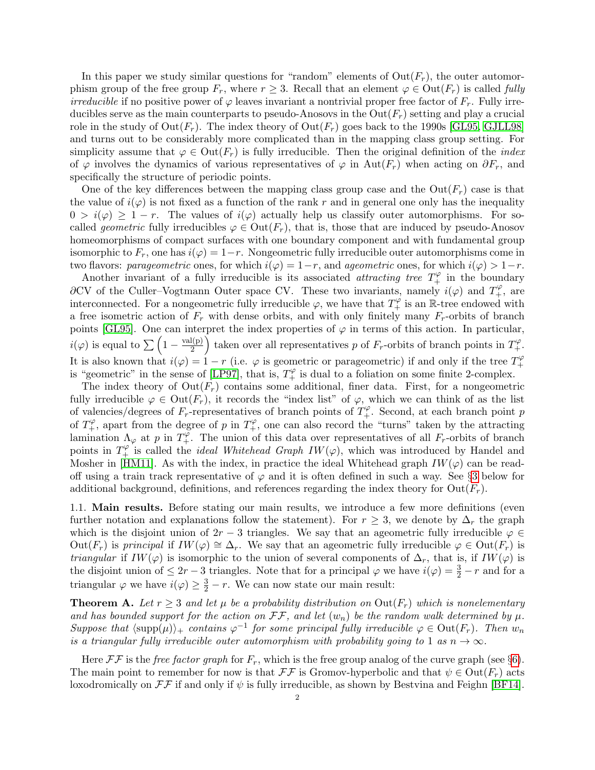In this paper we study similar questions for "random" elements of  $Out(F_r)$ , the outer automorphism group of the free group  $F_r$ , where  $r \geq 3$ . Recall that an element  $\varphi \in \text{Out}(F_r)$  is called fully *irreducible* if no positive power of  $\varphi$  leaves invariant a nontrivial proper free factor of  $F_r$ . Fully irreducibles serve as the main counterparts to pseudo-Anosovs in the  $Out(F_r)$  setting and play a crucial role in the study of  $\text{Out}(F_r)$ . The index theory of  $\text{Out}(F_r)$  goes back to the 1990s [\[GL95,](#page-25-2) [GJLL98\]](#page-25-3) and turns out to be considerably more complicated than in the mapping class group setting. For simplicity assume that  $\varphi \in \text{Out}(F_r)$  is fully irreducible. Then the original definition of the *index* of  $\varphi$  involves the dynamics of various representatives of  $\varphi$  in Aut( $F_r$ ) when acting on  $\partial F_r$ , and specifically the structure of periodic points.

One of the key differences between the mapping class group case and the  $Out(F_r)$  case is that the value of  $i(\varphi)$  is not fixed as a function of the rank r and in general one only has the inequality  $0 > i(\varphi) \geq 1 - r$ . The values of  $i(\varphi)$  actually help us classify outer automorphisms. For socalled geometric fully irreducibles  $\varphi \in \text{Out}(F_r)$ , that is, those that are induced by pseudo-Anosov homeomorphisms of compact surfaces with one boundary component and with fundamental group isomorphic to  $F_r$ , one has  $i(\varphi) = 1-r$ . Nongeometric fully irreducible outer automorphisms come in two flavors: parageometric ones, for which  $i(\varphi) = 1-r$ , and ageometric ones, for which  $i(\varphi) > 1-r$ .

Another invariant of a fully irreducible is its associated *attracting tree*  $T_+^{\varphi}$  in the boundary  $\partial CV$  of the Culler–Vogtmann Outer space CV. These two invariants, namely  $i(\varphi)$  and  $T_+^{\varphi}$ , are interconnected. For a nongeometric fully irreducible  $\varphi$ , we have that  $T_+^{\varphi}$  is an  $\mathbb R$ -tree endowed with a free isometric action of  $F_r$  with dense orbits, and with only finitely many  $F_r$ -orbits of branch points [\[GL95\]](#page-25-2). One can interpret the index properties of  $\varphi$  in terms of this action. In particular,  $i(\varphi)$  is equal to  $\sum_{n=1}^{\infty} \left(1 - \frac{\text{val}(p)}{2}\right)$  $\frac{d(p)}{2}$  taken over all representatives p of  $F_r$ -orbits of branch points in  $T_+^{\varphi}$ . It is also known that  $i(\varphi) = 1 - r$  (i.e.  $\varphi$  is geometric or parageometric) if and only if the tree  $T_+^{\varphi}$  $^{+}$ is "geometric" in the sense of [\[LP97\]](#page-26-2), that is,  $T_+^{\varphi}$  is dual to a foliation on some finite 2-complex.

The index theory of  $Out(F_r)$  contains some additional, finer data. First, for a nongeometric fully irreducible  $\varphi \in \text{Out}(F_r)$ , it records the "index list" of  $\varphi$ , which we can think of as the list of valencies/degrees of  $F_r$ -representatives of branch points of  $T_+^\varphi$ . Second, at each branch point p of  $T_+^{\varphi}$ , apart from the degree of p in  $T_+^{\varphi}$ , one can also record the "turns" taken by the attracting lamination  $\Lambda_{\varphi}$  at p in  $T^{\varphi}_{+}$ . The union of this data over representatives of all  $F_r$ -orbits of branch points in  $T^{\varphi'}_+$  is called the *ideal Whitehead Graph IW* $(\varphi)$ , which was introduced by Handel and Mosher in [\[HM11\]](#page-25-4). As with the index, in practice the ideal Whitehead graph  $IW(\varphi)$  can be readoff using a train track representative of  $\varphi$  and it is often defined in such a way. See §[3](#page-7-0) below for additional background, definitions, and references regarding the index theory for  $Out(F_r)$ .

1.1. Main results. Before stating our main results, we introduce a few more definitions (even further notation and explanations follow the statement). For  $r > 3$ , we denote by  $\Delta_r$  the graph which is the disjoint union of  $2r - 3$  triangles. We say that an ageometric fully irreducible  $\varphi \in$ Out(F<sub>r</sub>) is principal if  $IW(\varphi) \cong \Delta_r$ . We say that an ageometric fully irreducible  $\varphi \in Out(F_r)$  is *triangular* if  $IW(\varphi)$  is isomorphic to the union of several components of  $\Delta_r$ , that is, if  $IW(\varphi)$  is the disjoint union of  $\leq 2r-3$  triangles. Note that for a principal  $\varphi$  we have  $i(\varphi) = \frac{3}{2} - r$  and for a triangular  $\varphi$  we have  $i(\varphi) \geq \frac{3}{2} - r$ . We can now state our main result:

<span id="page-1-0"></span>**Theorem A.** Let  $r \geq 3$  and let  $\mu$  be a probability distribution on  $Out(F_r)$  which is nonelementary and has bounded support for the action on  $\mathcal{F}\mathcal{F}$ , and let  $(w_n)$  be the random walk determined by  $\mu$ . Suppose that  $\langle \text{supp}(\mu) \rangle_+$  contains  $\varphi^{-1}$  for some principal fully irreducible  $\varphi \in \text{Out}(F_r)$ . Then  $w_n$ is a triangular fully irreducible outer automorphism with probability going to 1 as  $n \to \infty$ .

Here  $\mathcal{F}\mathcal{F}$  is the free factor graph for  $F_r$ , which is the free group analog of the curve graph (see §[6\)](#page-17-0). The main point to remember for now is that  $\mathcal{F}\mathcal{F}$  is Gromov-hyperbolic and that  $\psi \in \text{Out}(F_r)$  acts loxodromically on  $\mathcal{F}\mathcal{F}$  if and only if  $\psi$  is fully irreducible, as shown by Bestvina and Feighn [\[BF14\]](#page-25-5).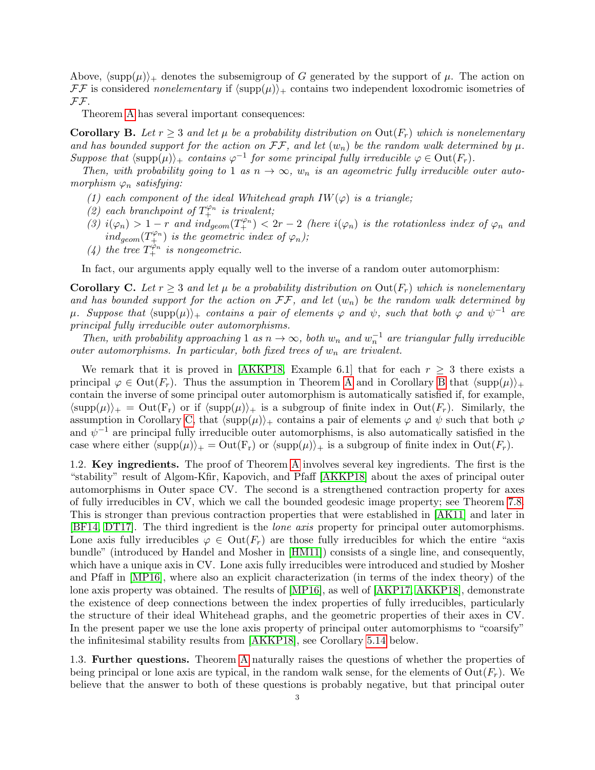Above,  $\langle \text{supp}(\mu) \rangle_+$  denotes the subsemigroup of G generated by the support of  $\mu$ . The action on  $\mathcal{F}\mathcal{F}$  is considered nonelementary if  $\langle \text{supp}(\mu) \rangle_+$  contains two independent loxodromic isometries of FF.

Theorem [A](#page-1-0) has several important consequences:

<span id="page-2-0"></span>**Corollary B.** Let  $r \geq 3$  and let  $\mu$  be a probability distribution on  $Out(F_r)$  which is nonelementary and has bounded support for the action on  $\mathcal{F}\mathcal{F}$ , and let  $(w_n)$  be the random walk determined by  $\mu$ . Suppose that  $\langle \text{supp}(\mu) \rangle_+$  contains  $\varphi^{-1}$  for some principal fully irreducible  $\varphi \in \text{Out}(F_r)$ .

Then, with probability going to 1 as  $n \to \infty$ ,  $w_n$  is an ageometric fully irreducible outer automorphism  $\varphi_n$  satisfying:

- (1) each component of the ideal Whitehead graph  $IW(\varphi)$  is a triangle;
- (2) each branchpoint of  $T_{+}^{\varphi_n}$  is trivalent;
- $\Gamma(\beta)$   $i(\varphi_n) > 1-r$  and  $ind_{geom}(T^{\varphi_n}_+) < 2r-2$  (here  $i(\varphi_n)$  is the rotationless index of  $\varphi_n$  and  $ind_{geom}(T^{\varphi_n}_+)$  is the geometric index of  $\varphi_n$ );
- (4) the tree  $T_+^{\varphi_n}$  is nongeometric.

In fact, our arguments apply equally well to the inverse of a random outer automorphism:

<span id="page-2-1"></span>**Corollary C.** Let  $r \geq 3$  and let  $\mu$  be a probability distribution on  $Out(F_r)$  which is nonelementary and has bounded support for the action on  $\mathcal{F}\mathcal{F}$ , and let  $(w_n)$  be the random walk determined by  $\mu$ . Suppose that  $\langle \text{supp}(\mu) \rangle_+$  contains a pair of elements  $\varphi$  and  $\psi$ , such that both  $\varphi$  and  $\psi^{-1}$  are principal fully irreducible outer automorphisms.

Then, with probability approaching 1 as  $n \to \infty$ , both  $w_n$  and  $w_n^{-1}$  are triangular fully irreducible outer automorphisms. In particular, both fixed trees of  $w_n$  are trivalent.

We remark that it is proved in [\[AKKP18,](#page-25-6) Example 6.1] that for each  $r \geq 3$  there exists a principal  $\varphi \in \text{Out}(F_r)$ . Thus the assumption in Theorem [A](#page-1-0) and in Corollary [B](#page-2-0) that  $\langle \text{supp}(\mu) \rangle_+$ contain the inverse of some principal outer automorphism is automatically satisfied if, for example,  $\langle \text{supp}(\mu) \rangle_+ = \text{Out}(F_r)$  or if  $\langle \text{supp}(\mu) \rangle_+$  is a subgroup of finite index in  $\text{Out}(F_r)$ . Similarly, the assumption in Corollary [C,](#page-2-1) that  $\langle \text{supp}(\mu) \rangle_+$  contains a pair of elements  $\varphi$  and  $\psi$  such that both  $\varphi$ and  $\psi^{-1}$  are principal fully irreducible outer automorphisms, is also automatically satisfied in the case where either  $\langle \text{supp}(\mu) \rangle_+ = \text{Out}(F_r)$  or  $\langle \text{supp}(\mu) \rangle_+$  is a subgroup of finite index in  $\text{Out}(F_r)$ .

1.2. Key ingredients. The proof of Theorem [A](#page-1-0) involves several key ingredients. The first is the "stability" result of Algom-Kfir, Kapovich, and Pfaff [\[AKKP18\]](#page-25-6) about the axes of principal outer automorphisms in Outer space CV. The second is a strengthened contraction property for axes of fully irreducibles in CV, which we call the bounded geodesic image property; see Theorem [7.8.](#page-21-0) This is stronger than previous contraction properties that were established in [\[AK11\]](#page-24-0) and later in [\[BF14,](#page-25-5) [DT17\]](#page-25-7). The third ingredient is the *lone axis* property for principal outer automorphisms. Lone axis fully irreducibles  $\varphi \in \text{Out}(F_r)$  are those fully irreducibles for which the entire "axis bundle" (introduced by Handel and Mosher in [\[HM11\]](#page-25-4)) consists of a single line, and consequently, which have a unique axis in CV. Lone axis fully irreducibles were introduced and studied by Mosher and Pfaff in [\[MP16\]](#page-26-3), where also an explicit characterization (in terms of the index theory) of the lone axis property was obtained. The results of [\[MP16\]](#page-26-3), as well of [\[AKP17,](#page-25-8) [AKKP18\]](#page-25-6), demonstrate the existence of deep connections between the index properties of fully irreducibles, particularly the structure of their ideal Whitehead graphs, and the geometric properties of their axes in CV. In the present paper we use the lone axis property of principal outer automorphisms to "coarsify" the infinitesimal stability results from [\[AKKP18\]](#page-25-6), see Corollary [5.14](#page-17-1) below.

1.3. Further questions. Theorem [A](#page-1-0) naturally raises the questions of whether the properties of being principal or lone axis are typical, in the random walk sense, for the elements of  $Out(F_r)$ . We believe that the answer to both of these questions is probably negative, but that principal outer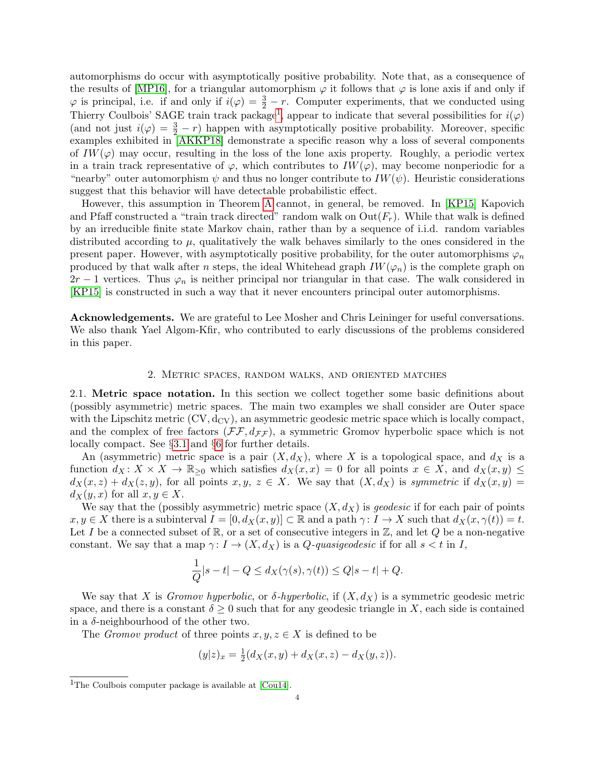automorphisms do occur with asymptotically positive probability. Note that, as a consequence of the results of [\[MP16\]](#page-26-3), for a triangular automorphism  $\varphi$  it follows that  $\varphi$  is lone axis if and only if  $\varphi$  is principal, i.e. if and only if  $i(\varphi) = \frac{3}{2} - r$ . Computer experiments, that we conducted using Thierry Coulbois' SAGE train track package<sup>[1](#page-0-0)</sup>, appear to indicate that several possibilities for  $i(\varphi)$ (and not just  $i(\varphi) = \frac{3}{2} - r$ ) happen with asymptotically positive probability. Moreover, specific examples exhibited in [\[AKKP18\]](#page-25-6) demonstrate a specific reason why a loss of several components of  $IW(\varphi)$  may occur, resulting in the loss of the lone axis property. Roughly, a periodic vertex in a train track representative of  $\varphi$ , which contributes to  $IW(\varphi)$ , may become nonperiodic for a "nearby" outer automorphism  $\psi$  and thus no longer contribute to  $IW(\psi)$ . Heuristic considerations suggest that this behavior will have detectable probabilistic effect.

However, this assumption in Theorem [A](#page-1-0) cannot, in general, be removed. In [\[KP15\]](#page-25-9) Kapovich and Pfaff constructed a "train track directed" random walk on  $Out(F_r)$ . While that walk is defined by an irreducible finite state Markov chain, rather than by a sequence of i.i.d. random variables distributed according to  $\mu$ , qualitatively the walk behaves similarly to the ones considered in the present paper. However, with asymptotically positive probability, for the outer automorphisms  $\varphi_n$ produced by that walk after n steps, the ideal Whitehead graph  $IW(\varphi_n)$  is the complete graph on  $2r-1$  vertices. Thus  $\varphi_n$  is neither principal nor triangular in that case. The walk considered in [\[KP15\]](#page-25-9) is constructed in such a way that it never encounters principal outer automorphisms.

Acknowledgements. We are grateful to Lee Mosher and Chris Leininger for useful conversations. We also thank Yael Algom-Kfir, who contributed to early discussions of the problems considered in this paper.

### 2. Metric spaces, random walks, and oriented matches

<span id="page-3-0"></span>2.1. Metric space notation. In this section we collect together some basic definitions about (possibly asymmetric) metric spaces. The main two examples we shall consider are Outer space with the Lipschitz metric  $(CV, d_{CV})$ , an asymmetric geodesic metric space which is locally compact, and the complex of free factors  $(\mathcal{F}\mathcal{F}, d_{\mathcal{F}\mathcal{F}})$ , a symmetric Gromov hyperbolic space which is not locally compact. See §[3.1](#page-7-1) and §[6](#page-17-0) for further details.

An (asymmetric) metric space is a pair  $(X, d_X)$ , where X is a topological space, and  $d_X$  is a function  $d_X: X \times X \to \mathbb{R}_{\geq 0}$  which satisfies  $d_X(x,x) = 0$  for all points  $x \in X$ , and  $d_X(x,y) \leq$  $d_X(x, z) + d_X(z, y)$ , for all points  $x, y, z \in X$ . We say that  $(X, d_X)$  is symmetric if  $d_X(x, y) =$  $d_X(y, x)$  for all  $x, y \in X$ .

We say that the (possibly asymmetric) metric space  $(X, d_X)$  is geodesic if for each pair of points  $x, y \in X$  there is a subinterval  $I = [0, d_X(x, y)] \subset \mathbb{R}$  and a path  $\gamma: I \to X$  such that  $d_X(x, \gamma(t)) = t$ . Let I be a connected subset of  $\mathbb{R}$ , or a set of consecutive integers in  $\mathbb{Z}$ , and let Q be a non-negative constant. We say that a map  $\gamma: I \to (X, d_X)$  is a *Q*-quasigeodesic if for all  $s < t$  in *I*,

$$
\frac{1}{Q}|s-t| - Q \le d_X(\gamma(s), \gamma(t)) \le Q|s-t| + Q.
$$

We say that X is Gromov hyperbolic, or  $\delta$ -hyperbolic, if  $(X, d_X)$  is a symmetric geodesic metric space, and there is a constant  $\delta \geq 0$  such that for any geodesic triangle in X, each side is contained in a  $\delta$ -neighbourhood of the other two.

The *Gromov product* of three points  $x, y, z \in X$  is defined to be

$$
(y|z)_x = \frac{1}{2}(d_X(x,y) + d_X(x,z) - d_X(y,z)).
$$

<sup>&</sup>lt;sup>1</sup>The Coulbois computer package is available at [\[Cou14\]](#page-25-10).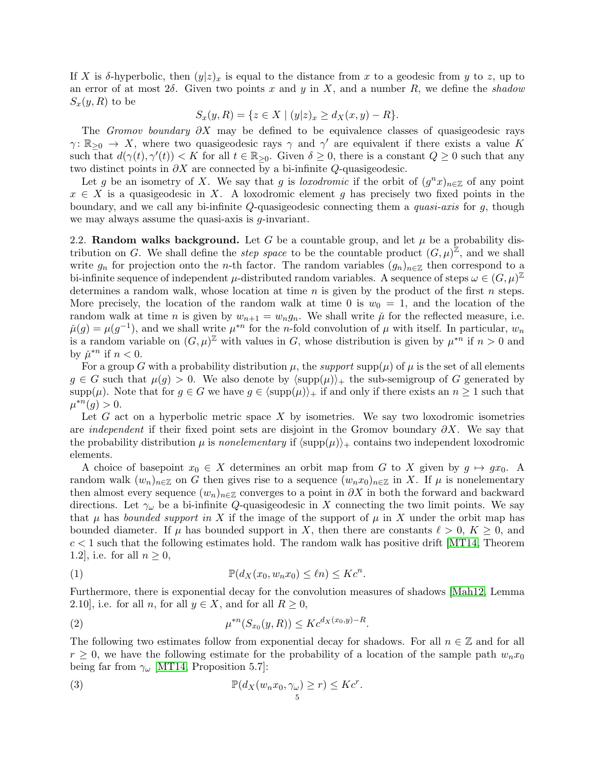If X is  $\delta$ -hyperbolic, then  $(y|z)_x$  is equal to the distance from x to a geodesic from y to z, up to an error of at most  $2\delta$ . Given two points x and y in X, and a number R, we define the shadow  $S_x(y,R)$  to be

$$
S_x(y, R) = \{ z \in X \mid (y|z)_x \ge d_X(x, y) - R \}.
$$

The Gromov boundary  $\partial X$  may be defined to be equivalence classes of quasigeodesic rays  $\gamma: \mathbb{R}_{\geq 0} \to X$ , where two quasigeodesic rays  $\gamma$  and  $\gamma'$  are equivalent if there exists a value K such that  $d(\gamma(t), \gamma'(t)) < K$  for all  $t \in \mathbb{R}_{\geq 0}$ . Given  $\delta \geq 0$ , there is a constant  $Q \geq 0$  such that any two distinct points in  $\partial X$  are connected by a bi-infinite  $Q$ -quasigeodesic.

Let g be an isometry of X. We say that g is loxodromic if the orbit of  $(g<sup>n</sup>x)_{n\in\mathbb{Z}}$  of any point  $x \in X$  is a quasigeodesic in X. A loxodromic element g has precisely two fixed points in the boundary, and we call any bi-infinite  $Q$ -quasigeodesic connecting them a *quasi-axis* for  $q$ , though we may always assume the quasi-axis is g-invariant.

2.2. Random walks background. Let G be a countable group, and let  $\mu$  be a probability distribution on G. We shall define the *step space* to be the countable product  $(G, \mu)^{\mathbb{Z}}$ , and we shall write  $g_n$  for projection onto the *n*-th factor. The random variables  $(g_n)_{n\in\mathbb{Z}}$  then correspond to a bi-infinite sequence of independent  $\mu$ -distributed random variables. A sequence of steps  $\omega \in (G, \mu)^{\mathbb{Z}}$ determines a random walk, whose location at time  $n$  is given by the product of the first  $n$  steps. More precisely, the location of the random walk at time 0 is  $w_0 = 1$ , and the location of the random walk at time *n* is given by  $w_{n+1} = w_n g_n$ . We shall write  $\mu$  for the reflected measure, i.e.  $\check{\mu}(g) = \mu(g^{-1})$ , and we shall write  $\mu^{*n}$  for the *n*-fold convolution of  $\mu$  with itself. In particular,  $w_n$ is a random variable on  $(G, \mu)^{\mathbb{Z}}$  with values in G, whose distribution is given by  $\mu^{*n}$  if  $n > 0$  and by  $\check{\mu}^{*n}$  if  $n < 0$ .

For a group G with a probability distribution  $\mu$ , the support supp $(\mu)$  of  $\mu$  is the set of all elements  $g \in G$  such that  $\mu(g) > 0$ . We also denote by  $\langle \text{supp}(\mu) \rangle_+$  the sub-semigroup of G generated by  $\text{supp}(\mu)$ . Note that for  $g \in G$  we have  $g \in \langle \text{supp}(\mu) \rangle_+$  if and only if there exists an  $n \geq 1$  such that  $\mu^{*n}(g) > 0.$ 

Let  $G$  act on a hyperbolic metric space  $X$  by isometries. We say two loxodromic isometries are *independent* if their fixed point sets are disjoint in the Gromov boundary  $\partial X$ . We say that the probability distribution  $\mu$  is nonelementary if  $\langle \text{supp}(\mu) \rangle_+$  contains two independent loxodromic elements.

A choice of basepoint  $x_0 \in X$  determines an orbit map from G to X given by  $g \mapsto gx_0$ . random walk  $(w_n)_{n\in\mathbb{Z}}$  on G then gives rise to a sequence  $(w_n x_0)_{n\in\mathbb{Z}}$  in X. If  $\mu$  is nonelementary then almost every sequence  $(w_n)_{n\in\mathbb{Z}}$  converges to a point in  $\partial X$  in both the forward and backward directions. Let  $\gamma_\omega$  be a bi-infinite Q-quasigeodesic in X connecting the two limit points. We say that  $\mu$  has bounded support in X if the image of the support of  $\mu$  in X under the orbit map has bounded diameter. If  $\mu$  has bounded support in X, then there are constants  $\ell > 0$ ,  $K > 0$ , and  $c < 1$  such that the following estimates hold. The random walk has positive drift [\[MT14,](#page-26-4) Theorem 1.2, i.e. for all  $n \geq 0$ ,

<span id="page-4-1"></span>(1) 
$$
\mathbb{P}(d_X(x_0, w_n x_0) \leq \ell n) \leq Kc^n.
$$

Furthermore, there is exponential decay for the convolution measures of shadows [\[Mah12,](#page-26-5) Lemma 2.10], i.e. for all n, for all  $y \in X$ , and for all  $R \geq 0$ ,

<span id="page-4-0"></span>(2) 
$$
\mu^{*n}(S_{x_0}(y,R)) \leq K c^{d_X(x_0,y)-R}.
$$

The following two estimates follow from exponential decay for shadows. For all  $n \in \mathbb{Z}$  and for all  $r \geq 0$ , we have the following estimate for the probability of a location of the sample path  $w_n x_0$ being far from  $\gamma_\omega$  [\[MT14,](#page-26-4) Proposition 5.7]:

(3) 
$$
\mathbb{P}(d_X(w_n x_0, \gamma_\omega) \geq r) \leq Kc^r.
$$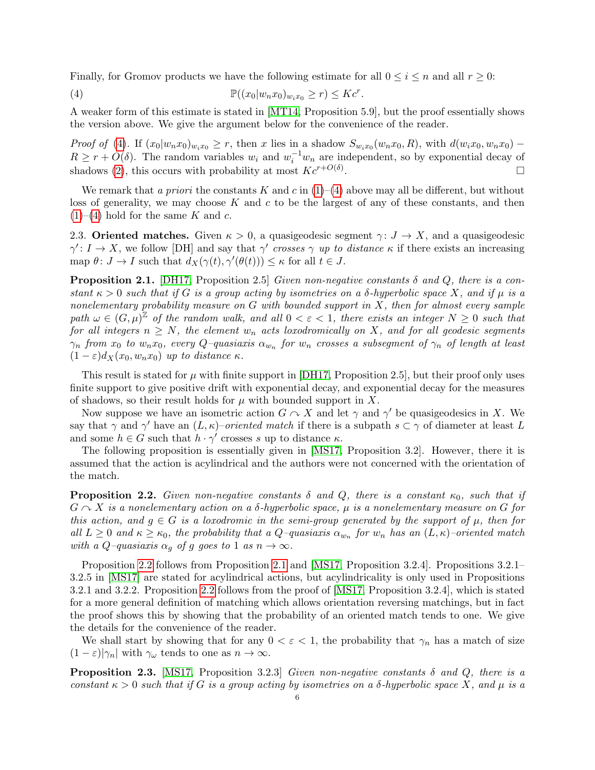Finally, for Gromov products we have the following estimate for all  $0 \leq i \leq n$  and all  $r \geq 0$ :

<span id="page-5-0"></span>(4) 
$$
\mathbb{P}((x_0|w_nx_0)_{w_ix_0} \geq r) \leq Kc^r.
$$

A weaker form of this estimate is stated in [\[MT14,](#page-26-4) Proposition 5.9], but the proof essentially shows the version above. We give the argument below for the convenience of the reader.

Proof of [\(4\)](#page-5-0). If  $(x_0|w_nx_0)_{w_ix_0} \geq r$ , then x lies in a shadow  $S_{w_ix_0}(w_nx_0, R)$ , with  $d(w_ix_0, w_nx_0)$  –  $R \geq r + O(\delta)$ . The random variables  $w_i$  and  $w_i^{-1}w_n$  are independent, so by exponential decay of shadows [\(2\)](#page-4-0), this occurs with probability at most  $Kc^{r+O(\delta)}$ . .

We remark that a priori the constants K and c in  $(1)-(4)$  $(1)-(4)$  above may all be different, but without loss of generality, we may choose  $K$  and  $c$  to be the largest of any of these constants, and then  $(1)–(4)$  $(1)–(4)$  $(1)–(4)$  hold for the same K and c.

2.3. Oriented matches. Given  $\kappa > 0$ , a quasigeodesic segment  $\gamma: J \to X$ , and a quasigeodesic  $\gamma' : I \to X$ , we follow [DH] and say that  $\gamma'$  crosses  $\gamma$  up to distance  $\kappa$  if there exists an increasing map  $\theta: J \to I$  such that  $d_X(\gamma(t), \gamma'(\theta(t))) \leq \kappa$  for all  $t \in J$ .

<span id="page-5-2"></span>**Proposition 2.1.** [\[DH17,](#page-25-11) Proposition 2.5] Given non-negative constants  $\delta$  and  $Q$ , there is a constant  $\kappa > 0$  such that if G is a group acting by isometries on a  $\delta$ -hyperbolic space X, and if  $\mu$  is a nonelementary probability measure on  $G$  with bounded support in  $X$ , then for almost every sample path  $\omega \in (G, \mu)^{\mathbb{Z}}$  of the random walk, and all  $0 < \varepsilon < 1$ , there exists an integer  $N \geq 0$  such that for all integers  $n \geq N$ , the element  $w_n$  acts loxodromically on X, and for all geodesic segments  $\gamma_n$  from  $x_0$  to  $w_n x_0$ , every  $Q$ –quasiaxis  $\alpha_{w_n}$  for  $w_n$  crosses a subsegment of  $\gamma_n$  of length at least  $(1 - \varepsilon)d_X(x_0, w_n x_0)$  up to distance  $\kappa$ .

This result is stated for  $\mu$  with finite support in [\[DH17,](#page-25-11) Proposition 2.5], but their proof only uses finite support to give positive drift with exponential decay, and exponential decay for the measures of shadows, so their result holds for  $\mu$  with bounded support in X.

Now suppose we have an isometric action  $G \curvearrowright X$  and let  $\gamma$  and  $\gamma'$  be quasigeodesics in X. We say that  $\gamma$  and  $\gamma'$  have an  $(L, \kappa)$ –oriented match if there is a subpath  $s \subset \gamma$  of diameter at least L and some  $h \in G$  such that  $h \cdot \gamma'$  crosses s up to distance  $\kappa$ .

The following proposition is essentially given in [\[MS17,](#page-26-6) Proposition 3.2]. However, there it is assumed that the action is acylindrical and the authors were not concerned with the orientation of the match.

<span id="page-5-1"></span>**Proposition 2.2.** Given non-negative constants  $\delta$  and  $Q$ , there is a constant  $\kappa_0$ , such that if  $G \cap X$  is a nonelementary action on a  $\delta$ -hyperbolic space,  $\mu$  is a nonelementary measure on G for this action, and  $q \in G$  is a loxodromic in the semi-group generated by the support of  $\mu$ , then for all  $L \geq 0$  and  $\kappa \geq \kappa_0$ , the probability that a Q-quasiaxis  $\alpha_{w_n}$  for  $w_n$  has an  $(L, \kappa)$ -oriented match with a Q–quasiaxis  $\alpha_q$  of g goes to 1 as  $n \to \infty$ .

Proposition [2.2](#page-5-1) follows from Proposition [2.1](#page-5-2) and [\[MS17,](#page-26-6) Proposition 3.2.4]. Propositions 3.2.1– 3.2.5 in [\[MS17\]](#page-26-6) are stated for acylindrical actions, but acylindricality is only used in Propositions 3.2.1 and 3.2.2. Proposition [2.2](#page-5-1) follows from the proof of [\[MS17,](#page-26-6) Proposition 3.2.4], which is stated for a more general definition of matching which allows orientation reversing matchings, but in fact the proof shows this by showing that the probability of an oriented match tends to one. We give the details for the convenience of the reader.

We shall start by showing that for any  $0 < \varepsilon < 1$ , the probability that  $\gamma_n$  has a match of size  $(1 - \varepsilon)|\gamma_n|$  with  $\gamma_\omega$  tends to one as  $n \to \infty$ .

<span id="page-5-3"></span>**Proposition 2.3.** [\[MS17,](#page-26-6) Proposition 3.2.3] Given non-negative constants  $\delta$  and  $Q$ , there is a constant  $\kappa > 0$  such that if G is a group acting by isometries on a δ-hyperbolic space X, and  $\mu$  is a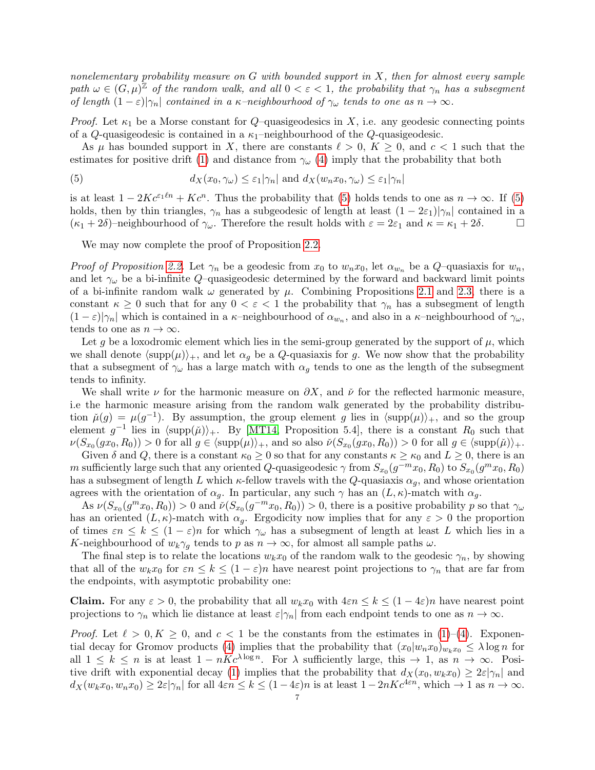nonelementary probability measure on  $G$  with bounded support in  $X$ , then for almost every sample path  $\omega \in (G, \mu)^{\mathbb{Z}}$  of the random walk, and all  $0 < \varepsilon < 1$ , the probability that  $\gamma_n$  has a subsegment of length  $(1 - \varepsilon)|\gamma_n|$  contained in a  $\kappa$ -neighbourhood of  $\gamma_\omega$  tends to one as  $n \to \infty$ .

*Proof.* Let  $\kappa_1$  be a Morse constant for  $Q$ -quasigeodesics in X, i.e. any geodesic connecting points of a Q-quasigeodesic is contained in a  $\kappa_1$ -neighbourhood of the Q-quasigeodesic.

As  $\mu$  has bounded support in X, there are constants  $\ell > 0$ ,  $K \geq 0$ , and  $c < 1$  such that the estimates for positive drift [\(1\)](#page-4-1) and distance from  $\gamma_{\omega}$  [\(4\)](#page-5-0) imply that the probability that both

<span id="page-6-0"></span>(5) 
$$
d_X(x_0, \gamma_\omega) \leq \varepsilon_1 |\gamma_n| \text{ and } d_X(w_n x_0, \gamma_\omega) \leq \varepsilon_1 |\gamma_n|
$$

is at least  $1 - 2Kc^{\varepsilon_1\ell n} + Kc^n$ . Thus the probability that [\(5\)](#page-6-0) holds tends to one as  $n \to \infty$ . If (5) holds, then by thin triangles,  $\gamma_n$  has a subgeodesic of length at least  $(1 - 2\varepsilon_1)|\gamma_n|$  contained in a  $(\kappa_1 + 2\delta)$ –neighbourhood of  $\gamma_\omega$ . Therefore the result holds with  $\varepsilon = 2\varepsilon_1$  and  $\kappa = \kappa_1 + 2\delta$ .

We may now complete the proof of Proposition [2.2.](#page-5-1)

*Proof of Proposition [2.2.](#page-5-1)* Let  $\gamma_n$  be a geodesic from  $x_0$  to  $w_nx_0$ , let  $\alpha_{w_n}$  be a  $Q$ -quasiaxis for  $w_n$ , and let  $\gamma_{\omega}$  be a bi-infinite Q–quasigeodesic determined by the forward and backward limit points of a bi-infinite random walk  $\omega$  generated by  $\mu$ . Combining Propositions [2.1](#page-5-2) and [2.3,](#page-5-3) there is a constant  $\kappa \geq 0$  such that for any  $0 < \varepsilon < 1$  the probability that  $\gamma_n$  has a subsegment of length  $(1-\varepsilon)|\gamma_n|$  which is contained in a  $\kappa$ -neighbourhood of  $\alpha_{w_n}$ , and also in a  $\kappa$ -neighbourhood of  $\gamma_\omega$ , tends to one as  $n \to \infty$ .

Let g be a loxodromic element which lies in the semi-group generated by the support of  $\mu$ , which we shall denote  $\langle \text{supp}(\mu) \rangle_+$ , and let  $\alpha_g$  be a Q-quasiaxis for g. We now show that the probability that a subsegment of  $\gamma_\omega$  has a large match with  $\alpha_g$  tends to one as the length of the subsegment tends to infinity.

We shall write  $\nu$  for the harmonic measure on  $\partial X$ , and  $\check{\nu}$  for the reflected harmonic measure, i.e the harmonic measure arising from the random walk generated by the probability distribution  $\mu(g) = \mu(g^{-1})$ . By assumption, the group element g lies in  $\langle \text{supp}(\mu) \rangle_+$ , and so the group element  $g^{-1}$  lies in  $\langle \text{supp}(\check{\mu}) \rangle_+$ . By [\[MT14,](#page-26-4) Proposition 5.4], there is a constant  $R_0$  such that  $\nu(S_{x_0}(gx_0, R_0)) > 0$  for all  $g \in \langle \mathrm{supp}(\mu) \rangle_+,$  and so also  $\check{\nu}(S_{x_0}(gx_0, R_0)) > 0$  for all  $g \in \langle \mathrm{supp}(\check{\mu}) \rangle_+.$ 

Given  $\delta$  and  $Q$ , there is a constant  $\kappa_0 \geq 0$  so that for any constants  $\kappa \geq \kappa_0$  and  $L \geq 0$ , there is an m sufficiently large such that any oriented Q-quasigeodesic  $\gamma$  from  $S_{x_0}(g^{-m}x_0, R_0)$  to  $S_{x_0}(g^{m}x_0, R_0)$ has a subsegment of length L which  $\kappa$ -fellow travels with the Q-quasiaxis  $\alpha_g$ , and whose orientation agrees with the orientation of  $\alpha_q$ . In particular, any such  $\gamma$  has an  $(L, \kappa)$ -match with  $\alpha_q$ .

As  $\nu(S_{x_0}(g^mx_0, R_0)) > 0$  and  $\check{\nu}(S_{x_0}(g^{-m}x_0, R_0)) > 0$ , there is a positive probability p so that  $\gamma_\omega$ has an oriented  $(L,\kappa)$ -match with  $\alpha_q$ . Ergodicity now implies that for any  $\varepsilon > 0$  the proportion of times  $\varepsilon n \leq k \leq (1-\varepsilon)n$  for which  $\gamma_{\omega}$  has a subsegment of length at least L which lies in a K-neighbourhood of  $w_k \gamma_g$  tends to p as  $n \to \infty$ , for almost all sample paths  $\omega$ .

The final step is to relate the locations  $w_kx_0$  of the random walk to the geodesic  $\gamma_n$ , by showing that all of the  $w_kx_0$  for  $\varepsilon n \leq k \leq (1-\varepsilon)n$  have nearest point projections to  $\gamma_n$  that are far from the endpoints, with asymptotic probability one:

**Claim.** For any  $\varepsilon > 0$ , the probability that all  $w_k x_0$  with  $4\varepsilon n \leq k \leq (1-4\varepsilon)n$  have nearest point projections to  $\gamma_n$  which lie distance at least  $\varepsilon|\gamma_n|$  from each endpoint tends to one as  $n \to \infty$ .

*Proof.* Let  $\ell > 0, K \geq 0$ , and  $c < 1$  be the constants from the estimates in [\(1\)](#page-4-1)–[\(4\)](#page-5-0). Exponen-tial decay for Gromov products [\(4\)](#page-5-0) implies that the probability that  $(x_0|w_nx_0)_{w_kx_0} \leq \lambda \log n$  for all  $1 \leq k \leq n$  is at least  $1 - nKc^{\lambda \log n}$ . For  $\lambda$  sufficiently large, this  $\rightarrow 1$ , as  $n \rightarrow \infty$ . Posi-tive drift with exponential decay [\(1\)](#page-4-1) implies that the probability that  $d_X(x_0, w_kx_0) \geq 2\varepsilon |\gamma_n|$  and  $d_X(w_kx_0, w_nx_0) \geq 2\varepsilon |\gamma_n|$  for all  $4\varepsilon n \leq k \leq (1-4\varepsilon)n$  is at least  $1-2nKc^{4\varepsilon n}$ , which  $\to 1$  as  $n \to \infty$ .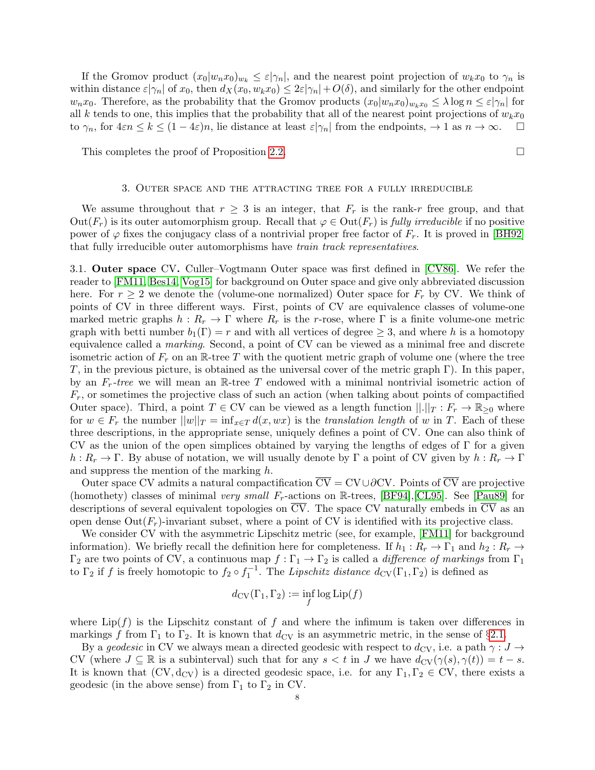If the Gromov product  $(x_0|w_nx_0)_{w_k} \leq \varepsilon |\gamma_n|$ , and the nearest point projection of  $w_kx_0$  to  $\gamma_n$  is within distance  $\varepsilon|\gamma_n|$  of  $x_0$ , then  $d_X(x_0, w_kx_0) \leq 2\varepsilon|\gamma_n| + O(\delta)$ , and similarly for the other endpoint  $w_nx_0$ . Therefore, as the probability that the Gromov products  $(x_0|w_nx_0)_{w_kx_0} \leq \lambda \log n \leq \varepsilon |\gamma_n|$  for all k tends to one, this implies that the probability that all of the nearest point projections of  $w_kx_0$ to  $\gamma_n$ , for  $4\epsilon n \leq k \leq (1-4\epsilon)n$ , lie distance at least  $\epsilon|\gamma_n|$  from the endpoints,  $\to 1$  as  $n \to \infty$ .

This completes the proof of Proposition [2.2.](#page-5-1)

#### 3. Outer space and the attracting tree for a fully irreducible

<span id="page-7-0"></span>We assume throughout that  $r \geq 3$  is an integer, that  $F_r$  is the rank-r free group, and that  $Out(F_r)$  is its outer automorphism group. Recall that  $\varphi \in Out(F_r)$  is fully irreducible if no positive power of  $\varphi$  fixes the conjugacy class of a nontrivial proper free factor of  $F_r$ . It is proved in [\[BH92\]](#page-25-12) that fully irreducible outer automorphisms have train track representatives.

<span id="page-7-1"></span>3.1. Outer space CV. Culler–Vogtmann Outer space was first defined in [\[CV86\]](#page-25-13). We refer the reader to [\[FM11,](#page-25-14) [Bes14,](#page-25-15) [Vog15\]](#page-26-7) for background on Outer space and give only abbreviated discussion here. For  $r \geq 2$  we denote the (volume-one normalized) Outer space for  $F_r$  by CV. We think of points of CV in three different ways. First, points of CV are equivalence classes of volume-one marked metric graphs  $h : R_r \to \Gamma$  where  $R_r$  is the r-rose, where  $\Gamma$  is a finite volume-one metric graph with betti number  $b_1(\Gamma) = r$  and with all vertices of degree  $\geq 3$ , and where h is a homotopy equivalence called a marking. Second, a point of CV can be viewed as a minimal free and discrete isometric action of  $F_r$  on an R-tree T with the quotient metric graph of volume one (where the tree T, in the previous picture, is obtained as the universal cover of the metric graph Γ). In this paper, by an  $F_r$ -tree we will mean an R-tree T endowed with a minimal nontrivial isometric action of  $F_r$ , or sometimes the projective class of such an action (when talking about points of compactified Outer space). Third, a point  $T \in CV$  can be viewed as a length function  $||.||_T : F_r \to \mathbb{R}_{\geq 0}$  where for  $w \in F_r$  the number  $||w||_T = \inf_{x \in T} d(x, wx)$  is the translation length of w in T. Each of these three descriptions, in the appropriate sense, uniquely defines a point of CV. One can also think of CV as the union of the open simplices obtained by varying the lengths of edges of  $\Gamma$  for a given  $h: R_r \to \Gamma$ . By abuse of notation, we will usually denote by  $\Gamma$  a point of CV given by  $h: R_r \to \Gamma$ and suppress the mention of the marking h.

Outer space CV admits a natural compactification  $\overline{CV} = CV \cup \partial CV$ . Points of  $\overline{CV}$  are projective (homothety) classes of minimal very small  $F_r$ -actions on R-trees, [\[BF94\]](#page-25-16), [\[CL95\]](#page-25-17). See [\[Pau89\]](#page-26-8) for descriptions of several equivalent topologies on  $\overline{CV}$ . The space CV naturally embeds in  $\overline{CV}$  as an open dense  $Out(F_r)$ -invariant subset, where a point of CV is identified with its projective class.

We consider CV with the asymmetric Lipschitz metric (see, for example, [\[FM11\]](#page-25-14) for background information). We briefly recall the definition here for completeness. If  $h_1: R_r \to \Gamma_1$  and  $h_2: R_r \to$  $\Gamma_2$  are two points of CV, a continuous map  $f:\Gamma_1\to\Gamma_2$  is called a *difference of markings* from  $\Gamma_1$ to  $\Gamma_2$  if f is freely homotopic to  $f_2 \circ f_1^{-1}$ . The Lipschitz distance  $d_{\rm CV}(\Gamma_1, \Gamma_2)$  is defined as

$$
d_{\mathrm{CV}}(\Gamma_1, \Gamma_2) := \inf_f \log \mathrm{Lip}(f)
$$

where  $\text{Lip}(f)$  is the Lipschitz constant of f and where the infimum is taken over differences in markings f from  $\Gamma_1$  to  $\Gamma_2$ . It is known that  $d_{\rm CV}$  is an asymmetric metric, in the sense of §[2.1.](#page-3-0)

By a geodesic in CV we always mean a directed geodesic with respect to  $d_{\text{CV}}$ , i.e. a path  $\gamma : J \to$ CV (where  $J \subseteq \mathbb{R}$  is a subinterval) such that for any  $s < t$  in J we have  $d_{CV}(\gamma(s), \gamma(t)) = t - s$ . It is known that  $(CV, d_{CV})$  is a directed geodesic space, i.e. for any  $\Gamma_1, \Gamma_2 \in CV$ , there exists a geodesic (in the above sense) from  $\Gamma_1$  to  $\Gamma_2$  in CV.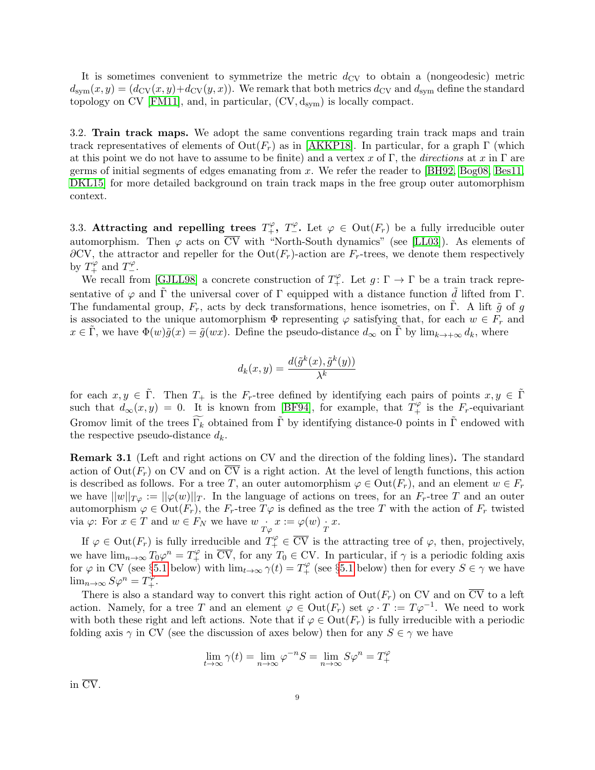It is sometimes convenient to symmetrize the metric  $d_{\text{CV}}$  to obtain a (nongeodesic) metric  $d_{sym}(x,y) = (d_{CV}(x,y) + d_{CV}(y,x))$ . We remark that both metrics  $d_{CV}$  and  $d_{sym}$  define the standard topology on CV [\[FM11\]](#page-25-14), and, in particular,  $(CV, d_{sym})$  is locally compact.

3.2. Train track maps. We adopt the same conventions regarding train track maps and train track representatives of elements of  $Out(F_r)$  as in [\[AKKP18\]](#page-25-6). In particular, for a graph  $\Gamma$  (which at this point we do not have to assume to be finite) and a vertex x of Γ, the directions at x in Γ are germs of initial segments of edges emanating from  $x$ . We refer the reader to [\[BH92,](#page-25-12) [Bog08,](#page-25-18) [Bes11,](#page-25-19) [DKL15\]](#page-25-20) for more detailed background on train track maps in the free group outer automorphism context.

3.3. Attracting and repelling trees  $T_+^{\varphi}$ ,  $T_-^{\varphi}$ . Let  $\varphi \in \text{Out}(F_r)$  be a fully irreducible outer automorphism. Then  $\varphi$  acts on  $\overline{CV}$  with "North-South dynamics" (see [\[LL03\]](#page-25-21)). As elements of  $\partial$ CV, the attractor and repeller for the Out( $F_r$ )-action are  $F_r$ -trees, we denote them respectively by  $T_+^{\varphi}$  and  $T_-^{\varphi}$ .

We recall from [\[GJLL98\]](#page-25-3) a concrete construction of  $T_+^{\varphi}$ . Let  $g: \Gamma \to \Gamma$  be a train track representative of  $\varphi$  and  $\tilde{\Gamma}$  the universal cover of  $\Gamma$  equipped with a distance function  $\tilde{d}$  lifted from  $\Gamma$ . The fundamental group,  $F_r$ , acts by deck transformations, hence isometries, on Γ. A lift  $\tilde{g}$  of g is associated to the unique automorphism  $\Phi$  representing  $\varphi$  satisfying that, for each  $w \in F_r$  and  $x \in \tilde{\Gamma}$ , we have  $\Phi(w)\tilde{g}(x) = \tilde{g}(wx)$ . Define the pseudo-distance  $d_{\infty}$  on  $\tilde{\Gamma}$  by  $\lim_{k \to +\infty} d_k$ , where

$$
d_k(x, y) = \frac{d(\tilde{g}^k(x), \tilde{g}^k(y))}{\lambda^k}
$$

for each  $x, y \in \tilde{\Gamma}$ . Then  $T_+$  is the  $F_r$ -tree defined by identifying each pairs of points  $x, y \in \tilde{\Gamma}$ such that  $d_{\infty}(x, y) = 0$ . It is known from [\[BF94\]](#page-25-16), for example, that  $T_+^{\varphi}$  is the  $F_r$ -equivariant Gromov limit of the trees  $\widetilde{\Gamma_k}$  obtained from  $\widetilde{\Gamma}$  by identifying distance-0 points in  $\widetilde{\Gamma}$  endowed with the respective pseudo-distance  $d_k$ .

<span id="page-8-0"></span>Remark 3.1 (Left and right actions on CV and the direction of the folding lines). The standard action of  $Out(F_r)$  on CV and on  $\overline{CV}$  is a right action. At the level of length functions, this action is described as follows. For a tree T, an outer automorphism  $\varphi \in \text{Out}(F_r)$ , and an element  $w \in F_r$ we have  $||w||_{T_\varphi} = ||\varphi(w)||_T$ . In the language of actions on trees, for an  $F_r$ -tree T and an outer automorphism  $\varphi \in \text{Out}(F_r)$ , the  $F_r$ -tree  $T\varphi$  is defined as the tree T with the action of  $F_r$  twisted via  $\varphi$ : For  $x \in T$  and  $w \in F_N$  we have  $w \underset{T \varphi}{\cdot} x := \varphi(w) \underset{T}{\cdot} x$ .

If  $\varphi \in \text{Out}(F_r)$  is fully irreducible and  $T_+^{\varphi} \in \overline{\text{CV}}$  is the attracting tree of  $\varphi$ , then, projectively, we have  $\lim_{n\to\infty} T_0\varphi^n = T_+^{\varphi}$  in  $\overline{CV}$ , for any  $T_0 \in CV$ . In particular, if  $\gamma$  is a periodic folding axis for  $\varphi$  in CV (see §[5.1](#page-12-0) below) with  $\lim_{t\to\infty} \gamma(t) = T_+^{\varphi}$  (see §5.1 below) then for every  $S \in \gamma$  we have  $\lim_{n\to\infty} S\varphi^n = T_+^{\varphi}.$ 

There is also a standard way to convert this right action of  $Out(F_r)$  on CV and on  $\overline{CV}$  to a left action. Namely, for a tree T and an element  $\varphi \in \text{Out}(F_r)$  set  $\varphi \cdot T := T\varphi^{-1}$ . We need to work with both these right and left actions. Note that if  $\varphi \in \text{Out}(F_r)$  is fully irreducible with a periodic folding axis  $\gamma$  in CV (see the discussion of axes below) then for any  $S \in \gamma$  we have

$$
\lim_{t \to \infty} \gamma(t) = \lim_{n \to \infty} \varphi^{-n} S = \lim_{n \to \infty} S \varphi^n = T_+^{\varphi}
$$

in CV.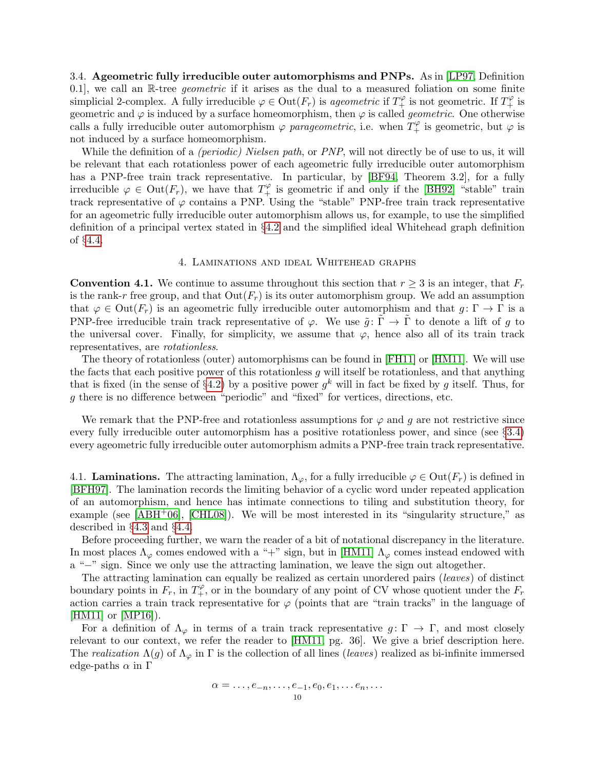<span id="page-9-0"></span>3.4. Ageometric fully irreducible outer automorphisms and PNPs. As in [\[LP97,](#page-26-2) Definition 0.1, we call an  $\mathbb{R}$ -tree *geometric* if it arises as the dual to a measured foliation on some finite simplicial 2-complex. A fully irreducible  $\varphi \in \text{Out}(F_r)$  is ageometric if  $T_+^{\varphi}$  is not geometric. If  $T_+^{\varphi}$  is geometric and  $\varphi$  is induced by a surface homeomorphism, then  $\varphi$  is called *geometric*. One otherwise calls a fully irreducible outer automorphism  $\varphi$  parageometric, i.e. when  $T_+^{\varphi}$  is geometric, but  $\varphi$  is not induced by a surface homeomorphism.

While the definition of a *(periodic) Nielsen path*, or *PNP*, will not directly be of use to us, it will be relevant that each rotationless power of each ageometric fully irreducible outer automorphism has a PNP-free train track representative. In particular, by [\[BF94,](#page-25-16) Theorem 3.2], for a fully irreducible  $\varphi \in \text{Out}(F_r)$ , we have that  $T_+^{\varphi}$  is geometric if and only if the [\[BH92\]](#page-25-12) "stable" train track representative of  $\varphi$  contains a PNP. Using the "stable" PNP-free train track representative for an ageometric fully irreducible outer automorphism allows us, for example, to use the simplified definition of a principal vertex stated in §[4.2](#page-10-0) and the simplified ideal Whitehead graph definition of §[4.4.](#page-10-1)

# 4. Laminations and ideal Whitehead graphs

<span id="page-9-1"></span>**Convention 4.1.** We continue to assume throughout this section that  $r \geq 3$  is an integer, that  $F_r$ is the rank-r free group, and that  $Out(F_r)$  is its outer automorphism group. We add an assumption that  $\varphi \in \text{Out}(F_r)$  is an ageometric fully irreducible outer automorphism and that  $g: \Gamma \to \Gamma$  is a PNP-free irreducible train track representative of  $\varphi$ . We use  $\tilde{q}$ :  $\tilde{\Gamma} \to \tilde{\Gamma}$  to denote a lift of q to the universal cover. Finally, for simplicity, we assume that  $\varphi$ , hence also all of its train track representatives, are rotationless.

The theory of rotationless (outer) automorphisms can be found in [\[FH11\]](#page-25-22) or [\[HM11\]](#page-25-4). We will use the facts that each positive power of this rotationless  $g$  will itself be rotationless, and that anything that is fixed (in the sense of §[4.2\)](#page-10-0) by a positive power  $g^k$  will in fact be fixed by g itself. Thus, for g there is no difference between "periodic" and "fixed" for vertices, directions, etc.

We remark that the PNP-free and rotationless assumptions for  $\varphi$  and g are not restrictive since every fully irreducible outer automorphism has a positive rotationless power, and since (see §[3.4\)](#page-9-0) every ageometric fully irreducible outer automorphism admits a PNP-free train track representative.

4.1. **Laminations.** The attracting lamination,  $\Lambda_{\varphi}$ , for a fully irreducible  $\varphi \in \text{Out}(F_r)$  is defined in [\[BFH97\]](#page-25-23). The lamination records the limiting behavior of a cyclic word under repeated application of an automorphism, and hence has intimate connections to tiling and substitution theory, for example (see  $[ABH<sup>+</sup>06]$ ,  $[CHLo8]$ ). We will be most interested in its "singularity structure," as described in §[4.3](#page-10-2) and §[4.4.](#page-10-1)

Before proceeding further, we warn the reader of a bit of notational discrepancy in the literature. In most places  $\Lambda_{\varphi}$  comes endowed with a "+" sign, but in [\[HM11\]](#page-25-4)  $\Lambda_{\varphi}$  comes instead endowed with a "−" sign. Since we only use the attracting lamination, we leave the sign out altogether.

The attracting lamination can equally be realized as certain unordered pairs (leaves) of distinct boundary points in  $F_r$ , in  $T_+^{\varphi}$ , or in the boundary of any point of CV whose quotient under the  $F_r$ action carries a train track representative for  $\varphi$  (points that are "train tracks" in the language of [\[HM11\]](#page-25-4) or [\[MP16\]](#page-26-3)).

For a definition of  $\Lambda_{\varphi}$  in terms of a train track representative  $g: \Gamma \to \Gamma$ , and most closely relevant to our context, we refer the reader to [\[HM11,](#page-25-4) pg. 36]. We give a brief description here. The realization  $\Lambda(g)$  of  $\Lambda_{\varphi}$  in  $\Gamma$  is the collection of all lines (leaves) realized as bi-infinite immersed edge-paths  $\alpha$  in  $\Gamma$ 

$$
\alpha=\ldots,e_{-n},\ldots,e_{-1},e_0,e_1,\ldots e_n,\ldots
$$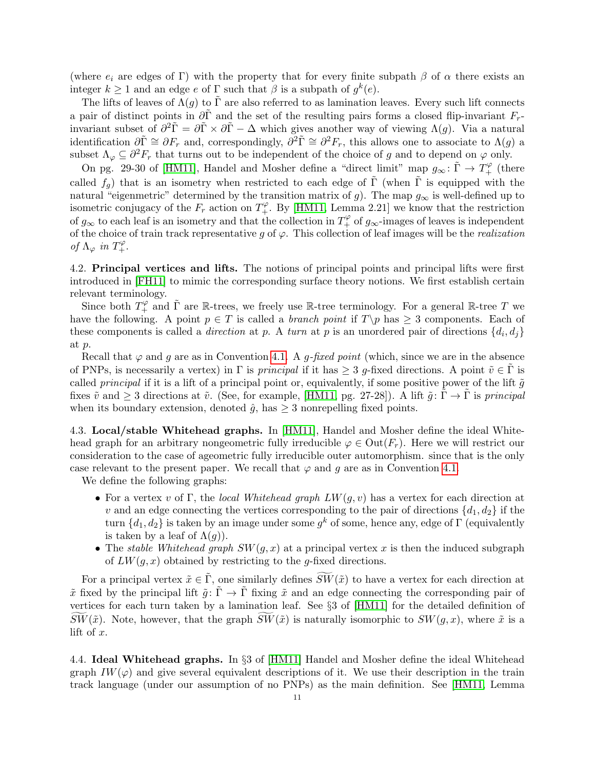(where  $e_i$  are edges of Γ) with the property that for every finite subpath  $\beta$  of  $\alpha$  there exists an integer  $k \geq 1$  and an edge e of  $\Gamma$  such that  $\beta$  is a subpath of  $g^k(e)$ .

The lifts of leaves of  $\Lambda(q)$  to  $\tilde{\Gamma}$  are also referred to as lamination leaves. Every such lift connects a pair of distinct points in  $\partial \tilde{\Gamma}$  and the set of the resulting pairs forms a closed flip-invariant  $F_r$ invariant subset of  $\partial^2 \tilde{\Gamma} = \partial \tilde{\Gamma} \times \partial \tilde{\Gamma} - \Delta$  which gives another way of viewing  $\Lambda(g)$ . Via a natural identification  $\partial \tilde{\Gamma} \cong \partial F_r$  and, correspondingly,  $\partial^2 \tilde{\Gamma} \cong \partial^2 F_r$ , this allows one to associate to  $\Lambda(g)$  a subset  $\Lambda_{\varphi} \subseteq \partial^2 F_r$  that turns out to be independent of the choice of g and to depend on  $\varphi$  only.

On pg. 29-30 of [\[HM11\]](#page-25-4), Handel and Mosher define a "direct limit" map  $g_{\infty} : \tilde{\Gamma} \to T_{+}^{\varphi}$  (there called  $f_g$ ) that is an isometry when restricted to each edge of  $\tilde{\Gamma}$  (when  $\tilde{\Gamma}$  is equipped with the natural "eigenmetric" determined by the transition matrix of g). The map  $g_{\infty}$  is well-defined up to isometric conjugacy of the  $F_r$  action on  $T_+^{\varphi}$ . By [\[HM11,](#page-25-4) Lemma 2.21] we know that the restriction of  $g_{\infty}$  to each leaf is an isometry and that the collection in  $T_+^{\varphi}$  of  $g_{\infty}$ -images of leaves is independent of the choice of train track representative g of  $\varphi$ . This collection of leaf images will be the *realization* of  $\Lambda_{\varphi}$  in  $T^{\varphi}_{+}$ .

<span id="page-10-0"></span>4.2. Principal vertices and lifts. The notions of principal points and principal lifts were first introduced in [\[FH11\]](#page-25-22) to mimic the corresponding surface theory notions. We first establish certain relevant terminology.

Since both  $T_+^{\varphi}$  and  $\tilde{\Gamma}$  are R-trees, we freely use R-tree terminology. For a general R-tree T we have the following. A point  $p \in T$  is called a *branch point* if  $T\pmb{\downarrow} p$  has  $\geq 3$  components. Each of these components is called a *direction* at p. A turn at p is an unordered pair of directions  $\{d_i, d_j\}$ at p.

Recall that  $\varphi$  and g are as in Convention [4.1.](#page-9-1) A g-fixed point (which, since we are in the absence of PNPs, is necessarily a vertex) in Γ is *principal* if it has  $\geq 3$  g-fixed directions. A point  $\tilde{v} \in \Gamma$  is called *principal* if it is a lift of a principal point or, equivalently, if some positive power of the lift  $\tilde{g}$ fixes  $\tilde{v}$  and  $\geq 3$  directions at  $\tilde{v}$ . (See, for example, [\[HM11,](#page-25-4) pg. 27-28]). A lift  $\tilde{g} : \Gamma \to \Gamma$  is *principal* when its boundary extension, denoted  $\hat{q}$ , has  $\geq$  3 nonrepelling fixed points.

<span id="page-10-2"></span>4.3. Local/stable Whitehead graphs. In [\[HM11\]](#page-25-4), Handel and Mosher define the ideal Whitehead graph for an arbitrary nongeometric fully irreducible  $\varphi \in \text{Out}(F_r)$ . Here we will restrict our consideration to the case of ageometric fully irreducible outer automorphism. since that is the only case relevant to the present paper. We recall that  $\varphi$  and g are as in Convention [4.1.](#page-9-1)

We define the following graphs:

- For a vertex v of Γ, the local Whitehead graph  $LW(g, v)$  has a vertex for each direction at v and an edge connecting the vertices corresponding to the pair of directions  $\{d_1, d_2\}$  if the turn  $\{d_1, d_2\}$  is taken by an image under some  $g^k$  of some, hence any, edge of  $\Gamma$  (equivalently is taken by a leaf of  $\Lambda(q)$ ).
- The stable Whitehead graph  $SW(g, x)$  at a principal vertex x is then the induced subgraph of  $LW(q, x)$  obtained by restricting to the g-fixed directions.

For a principal vertex  $\tilde{x} \in \tilde{\Gamma}$ , one similarly defines  $\widetilde{SW}(\tilde{x})$  to have a vertex for each direction at  $\tilde{x}$  fixed by the principal lift  $\tilde{g} : \tilde{\Gamma} \to \tilde{\Gamma}$  fixing  $\tilde{x}$  and an edge connecting the corresponding pair of vertices for each turn taken by a lamination leaf. See §3 of [\[HM11\]](#page-25-4) for the detailed definition of  $SW(\tilde{x})$ . Note, however, that the graph  $SW(\tilde{x})$  is naturally isomorphic to  $SW(g, x)$ , where  $\tilde{x}$  is a lift of x.

<span id="page-10-1"></span>4.4. Ideal Whitehead graphs. In §3 of [\[HM11\]](#page-25-4) Handel and Mosher define the ideal Whitehead graph  $IW(\varphi)$  and give several equivalent descriptions of it. We use their description in the train track language (under our assumption of no PNPs) as the main definition. See [\[HM11,](#page-25-4) Lemma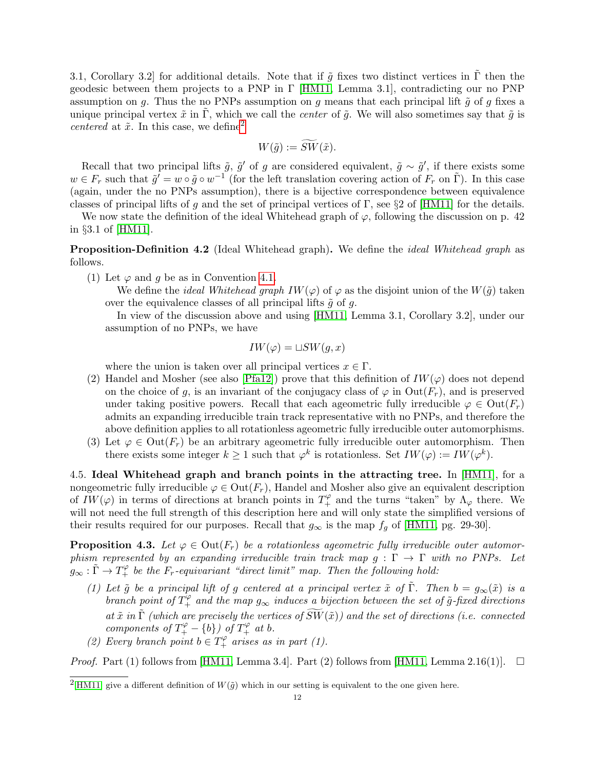3.1, Corollary 3.2 for additional details. Note that if  $\tilde{q}$  fixes two distinct vertices in  $\tilde{\Gamma}$  then the geodesic between them projects to a PNP in  $\Gamma$  [\[HM11,](#page-25-4) Lemma 3.1], contradicting our no PNP assumption on g. Thus the no PNPs assumption on g means that each principal lift  $\tilde{g}$  of g fixes a unique principal vertex  $\tilde{x}$  in  $\tilde{\Gamma}$ , which we call the *center* of  $\tilde{q}$ . We will also sometimes say that  $\tilde{q}$  is centered at  $\tilde{x}$ . In this case, we define<sup>[2](#page-0-0)</sup>

$$
W(\tilde{g}) := \widetilde{SW}(\tilde{x}).
$$

Recall that two principal lifts  $\tilde{g}$ ,  $\tilde{g}'$  of g are considered equivalent,  $\tilde{g} \sim \tilde{g}'$ , if there exists some  $w \in F_r$  such that  $\tilde{g}' = w \circ \tilde{g} \circ w^{-1}$  (for the left translation covering action of  $F_r$  on  $\tilde{\Gamma}$ ). In this case (again, under the no PNPs assumption), there is a bijective correspondence between equivalence classes of principal lifts of g and the set of principal vertices of Γ, see §2 of [\[HM11\]](#page-25-4) for the details.

We now state the definition of the ideal Whitehead graph of  $\varphi$ , following the discussion on p. 42 in §3.1 of [\[HM11\]](#page-25-4).

**Proposition-Definition 4.2** (Ideal Whitehead graph). We define the *ideal Whitehead graph* as follows.

(1) Let  $\varphi$  and g be as in Convention [4.1.](#page-9-1)

We define the *ideal Whitehead graph IW* $(\varphi)$  of  $\varphi$  as the disjoint union of the W $(\tilde{g})$  taken over the equivalence classes of all principal lifts  $\tilde{g}$  of g.

In view of the discussion above and using [\[HM11,](#page-25-4) Lemma 3.1, Corollary 3.2], under our assumption of no PNPs, we have

$$
IW(\varphi) = \sqcup SW(g, x)
$$

where the union is taken over all principal vertices  $x \in \Gamma$ .

- (2) Handel and Mosher (see also [\[Pfa12\]](#page-26-9)) prove that this definition of  $IW(\varphi)$  does not depend on the choice of g, is an invariant of the conjugacy class of  $\varphi$  in  $Out(F_r)$ , and is preserved under taking positive powers. Recall that each ageometric fully irreducible  $\varphi \in \text{Out}(F_r)$ admits an expanding irreducible train track representative with no PNPs, and therefore the above definition applies to all rotationless ageometric fully irreducible outer automorphisms.
- (3) Let  $\varphi \in \text{Out}(F_r)$  be an arbitrary ageometric fully irreducible outer automorphism. Then there exists some integer  $k \geq 1$  such that  $\varphi^k$  is rotationless. Set  $IW(\varphi) := IW(\varphi^k)$ .

4.5. Ideal Whitehead graph and branch points in the attracting tree. In [\[HM11\]](#page-25-4), for a nongeometric fully irreducible  $\varphi \in \text{Out}(F_r)$ , Handel and Mosher also give an equivalent description of  $IW(\varphi)$  in terms of directions at branch points in  $T_+^{\varphi}$  and the turns "taken" by  $\Lambda_{\varphi}$  there. We will not need the full strength of this description here and will only state the simplified versions of their results required for our purposes. Recall that  $g_{\infty}$  is the map  $f_g$  of [\[HM11,](#page-25-4) pg. 29-30].

<span id="page-11-0"></span>**Proposition 4.3.** Let  $\varphi \in \text{Out}(F_r)$  be a rotationless ageometric fully irreducible outer automorphism represented by an expanding irreducible train track map  $g : \Gamma \to \Gamma$  with no PNPs. Let  $g_{\infty} : \tilde{\Gamma} \to T^{\varphi}_+$  be the  $F_r$ -equivariant "direct limit" map. Then the following hold:

- (1) Let  $\tilde{g}$  be a principal lift of g centered at a principal vertex  $\tilde{x}$  of  $\tilde{\Gamma}$ . Then  $b = g_{\infty}(\tilde{x})$  is a branch point of  $T^{\varphi}_+$  and the map  $g_{\infty}$  induces a bijection between the set of  $\tilde{g}$ -fixed directions at  $\tilde{x}$  in  $\tilde{\Gamma}$  (which are precisely the vertices of  $\widetilde{SW}(\tilde{x})$ ) and the set of directions (i.e. connected components of  $T^{\varphi}_{+} - \{b\}$  of  $T^{\varphi}_{+}$  at b.
- (2) Every branch point  $b \in T^{\varphi}_+$  arises as in part (1).

*Proof.* Part (1) follows from [\[HM11,](#page-25-4) Lemma 3.4]. Part (2) follows from [HM11, Lemma 2.16(1)].  $\square$ 

<sup>&</sup>lt;sup>2</sup>[\[HM11\]](#page-25-4) give a different definition of  $W(\tilde{g})$  which in our setting is equivalent to the one given here.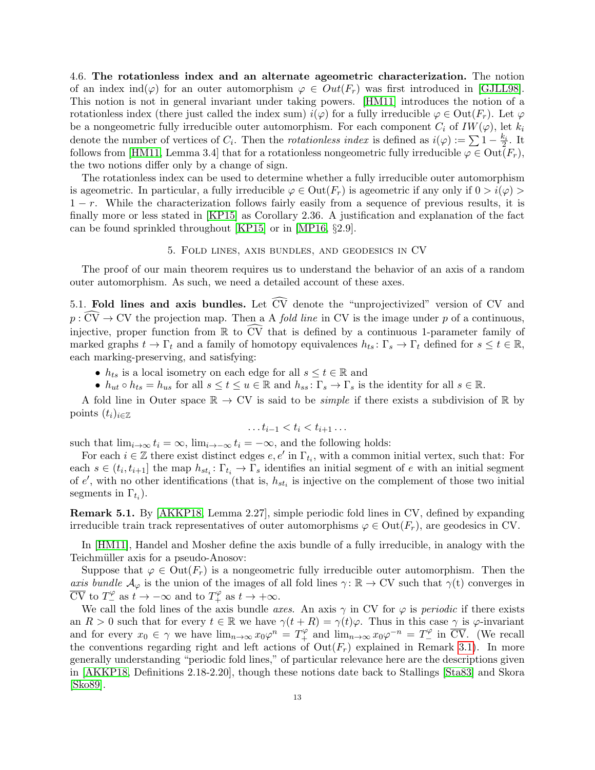<span id="page-12-1"></span>4.6. The rotationless index and an alternate ageometric characterization. The notion of an index ind( $\varphi$ ) for an outer automorphism  $\varphi \in Out(F_r)$  was first introduced in [\[GJLL98\]](#page-25-3). This notion is not in general invariant under taking powers. [\[HM11\]](#page-25-4) introduces the notion of a rotationless index (there just called the index sum)  $i(\varphi)$  for a fully irreducible  $\varphi \in \text{Out}(F_r)$ . Let  $\varphi$ be a nongeometric fully irreducible outer automorphism. For each component  $C_i$  of  $IW(\varphi)$ , let  $k_i$ denote the number of vertices of  $C_i$ . Then the *rotationless index* is defined as  $i(\varphi) := \sum 1 - \frac{k_i}{2}$ . It follows from [\[HM11,](#page-25-4) Lemma 3.4] that for a rotationless nongeometric fully irreducible  $\varphi \in \text{Out}(F_r)$ , the two notions differ only by a change of sign.

The rotationless index can be used to determine whether a fully irreducible outer automorphism is ageometric. In particular, a fully irreducible  $\varphi \in Out(F_r)$  is ageometric if any only if  $0 > i(\varphi) >$  $1 - r$ . While the characterization follows fairly easily from a sequence of previous results, it is finally more or less stated in [\[KP15\]](#page-25-9) as Corollary 2.36. A justification and explanation of the fact can be found sprinkled throughout [\[KP15\]](#page-25-9) or in [\[MP16,](#page-26-3) §2.9].

# 5. Fold lines, axis bundles, and geodesics in CV

The proof of our main theorem requires us to understand the behavior of an axis of a random outer automorphism. As such, we need a detailed account of these axes.

<span id="page-12-0"></span>5.1. Fold lines and axis bundles. Let  $\widetilde{CV}$  denote the "unprojectivized" version of CV and  $p : \widehat{CV} \to CV$  the projection map. Then a A *fold line* in CV is the image under p of a continuous, injective, proper function from  $\mathbb R$  to  $\widetilde{CV}$  that is defined by a continuous 1-parameter family of marked graphs  $t \to \Gamma_t$  and a family of homotopy equivalences  $h_{ts} : \Gamma_s \to \Gamma_t$  defined for  $s \le t \in \mathbb{R}$ , each marking-preserving, and satisfying:

- $h_{ts}$  is a local isometry on each edge for all  $s \le t \in \mathbb{R}$  and
- $h_{ut} \circ h_{ts} = h_{us}$  for all  $s \le t \le u \in \mathbb{R}$  and  $h_{ss} \colon \Gamma_s \to \Gamma_s$  is the identity for all  $s \in \mathbb{R}$ .

A fold line in Outer space  $\mathbb{R} \to \mathrm{CV}$  is said to be *simple* if there exists a subdivision of  $\mathbb{R}$  by points  $(t_i)_{i\in\mathbb{Z}}$ 

$$
\ldots t_{i-1} < t_i < t_{i+1} \ldots
$$

such that  $\lim_{i\to\infty} t_i = \infty$ ,  $\lim_{i\to\infty} t_i = -\infty$ , and the following holds:

For each  $i \in \mathbb{Z}$  there exist distinct edges  $e, e'$  in  $\Gamma_{t_i}$ , with a common initial vertex, such that: For each  $s \in (t_i, t_{i+1}]$  the map  $h_{st_i}: \Gamma_{t_i} \to \Gamma_s$  identifies an initial segment of e with an initial segment of  $e'$ , with no other identifications (that is,  $h_{st_i}$  is injective on the complement of those two initial segments in  $\Gamma_{t_i}$ ).

<span id="page-12-2"></span>Remark 5.1. By [\[AKKP18,](#page-25-6) Lemma 2.27], simple periodic fold lines in CV, defined by expanding irreducible train track representatives of outer automorphisms  $\varphi \in \text{Out}(F_r)$ , are geodesics in CV.

In [\[HM11\]](#page-25-4), Handel and Mosher define the axis bundle of a fully irreducible, in analogy with the Teichmüller axis for a pseudo-Anosov:

Suppose that  $\varphi \in \text{Out}(F_r)$  is a nongeometric fully irreducible outer automorphism. Then the axis bundle  $\mathcal{A}_{\varphi}$  is the union of the images of all fold lines  $\gamma: \mathbb{R} \to \mathrm{CV}$  such that  $\gamma(t)$  converges in  $\overline{\text{CV}}$  to  $T^\varphi_-$  as  $t \to -\infty$  and to  $T^\varphi_+$  as  $t \to +\infty$ .

We call the fold lines of the axis bundle axes. An axis  $\gamma$  in CV for  $\varphi$  is *periodic* if there exists an  $R > 0$  such that for every  $t \in \mathbb{R}$  we have  $\gamma(t + R) = \gamma(t)\varphi$ . Thus in this case  $\gamma$  is  $\varphi$ -invariant and for every  $x_0 \in \gamma$  we have  $\lim_{n\to\infty} x_0\varphi^n = T_+^{\varphi}$  and  $\lim_{n\to\infty} x_0\varphi^{-n} = T_-^{\varphi}$  in  $\overline{CV}$ . (We recall the conventions regarding right and left actions of  $Out(F_r)$  explained in Remark [3.1\)](#page-8-0). In more generally understanding "periodic fold lines," of particular relevance here are the descriptions given in [\[AKKP18,](#page-25-6) Definitions 2.18-2.20], though these notions date back to Stallings [\[Sta83\]](#page-26-10) and Skora [\[Sko89\]](#page-26-11).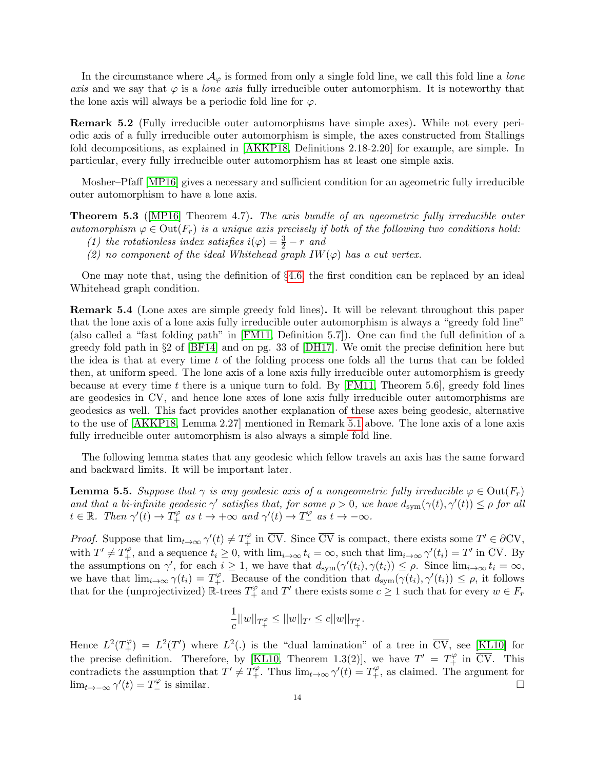In the circumstance where  $\mathcal{A}_{\varphi}$  is formed from only a single fold line, we call this fold line a lone axis and we say that  $\varphi$  is a *lone axis* fully irreducible outer automorphism. It is noteworthy that the lone axis will always be a periodic fold line for  $\varphi$ .

Remark 5.2 (Fully irreducible outer automorphisms have simple axes). While not every periodic axis of a fully irreducible outer automorphism is simple, the axes constructed from Stallings fold decompositions, as explained in [\[AKKP18,](#page-25-6) Definitions 2.18-2.20] for example, are simple. In particular, every fully irreducible outer automorphism has at least one simple axis.

Mosher–Pfaff [\[MP16\]](#page-26-3) gives a necessary and sufficient condition for an ageometric fully irreducible outer automorphism to have a lone axis.

**Theorem 5.3** (MP16) Theorem 4.7). The axis bundle of an ageometric fully irreducible outer automorphism  $\varphi \in \text{Out}(F_r)$  is a unique axis precisely if both of the following two conditions hold:

- (1) the rotationless index satisfies  $i(\varphi) = \frac{3}{2} r$  and
- (2) no component of the ideal Whitehead graph  $IW(\varphi)$  has a cut vertex.

One may note that, using the definition of §[4.6,](#page-12-1) the first condition can be replaced by an ideal Whitehead graph condition.

Remark 5.4 (Lone axes are simple greedy fold lines). It will be relevant throughout this paper that the lone axis of a lone axis fully irreducible outer automorphism is always a "greedy fold line" (also called a "fast folding path" in [\[FM11,](#page-25-14) Definition 5.7]). One can find the full definition of a greedy fold path in §2 of [\[BF14\]](#page-25-5) and on pg. 33 of [\[DH17\]](#page-25-11). We omit the precise definition here but the idea is that at every time t of the folding process one folds all the turns that can be folded then, at uniform speed. The lone axis of a lone axis fully irreducible outer automorphism is greedy because at every time t there is a unique turn to fold. By  $[FM11, Theorem 5.6]$ , greedy fold lines are geodesics in CV, and hence lone axes of lone axis fully irreducible outer automorphisms are geodesics as well. This fact provides another explanation of these axes being geodesic, alternative to the use of [\[AKKP18,](#page-25-6) Lemma 2.27] mentioned in Remark [5.1](#page-12-2) above. The lone axis of a lone axis fully irreducible outer automorphism is also always a simple fold line.

The following lemma states that any geodesic which fellow travels an axis has the same forward and backward limits. It will be important later.

<span id="page-13-0"></span>**Lemma 5.5.** Suppose that  $\gamma$  is any geodesic axis of a nongeometric fully irreducible  $\varphi \in \text{Out}(F_r)$ and that a bi-infinite geodesic  $\gamma'$  satisfies that, for some  $\rho > 0$ , we have  $d_{sym}(\gamma(t), \gamma'(t)) \leq \rho$  for all  $t \in \mathbb{R}$ . Then  $\gamma'(t) \to \tilde{T}_+^\varphi$  as  $t \to +\infty$  and  $\gamma'(t) \to \tilde{T}_-^\varphi$  as  $t \to -\infty$ .

*Proof.* Suppose that  $\lim_{t\to\infty} \gamma'(t) \neq T_+^{\varphi}$  in  $\overline{CV}$ . Since  $\overline{CV}$  is compact, there exists some  $T' \in \partial CV$ , with  $T' \neq T_+^{\varphi}$ , and a sequence  $t_i \geq 0$ , with  $\lim_{i \to \infty} t_i = \infty$ , such that  $\lim_{i \to \infty} \gamma'(t_i) = T'$  in  $\overline{CV}$ . By the assumptions on  $\gamma'$ , for each  $i \geq 1$ , we have that  $d_{sym}(\gamma'(t_i), \gamma(t_i)) \leq \rho$ . Since  $\lim_{i \to \infty} t_i = \infty$ , we have that  $\lim_{i\to\infty}\gamma(t_i)=T_+^{\varphi}$ . Because of the condition that  $d_{sym}(\gamma(t_i),\gamma'(t_i))\leq\rho$ , it follows that for the (unprojectivized)  $\mathbb{R}$ -trees  $T_+^{\varphi}$  and  $T'$  there exists some  $c \geq 1$  such that for every  $w \in F_r$ 

$$
\frac{1}{c}||w||_{T_+^\varphi}\leq ||w||_{T'}\leq c||w||_{T_+^\varphi}.
$$

Hence  $L^2(T_+^{\varphi}) = L^2(T')$  where  $L^2(.)$  is the "dual lamination" of a tree in  $\overline{CV}$ , see [\[KL10\]](#page-25-25) for the precise definition. Therefore, by [\[KL10,](#page-25-25) Theorem 1.3(2)], we have  $T' = T_+^{\varphi}$  in  $\overline{CV}$ . This contradicts the assumption that  $T' \neq T_+^{\varphi}$ . Thus  $\lim_{t\to\infty} \gamma'(t) = T_+^{\varphi}$ , as claimed. The argument for  $\lim_{t\to-\infty}\gamma'(t)=T_-^{\varphi}$  $\frac{1}{2}$  is similar.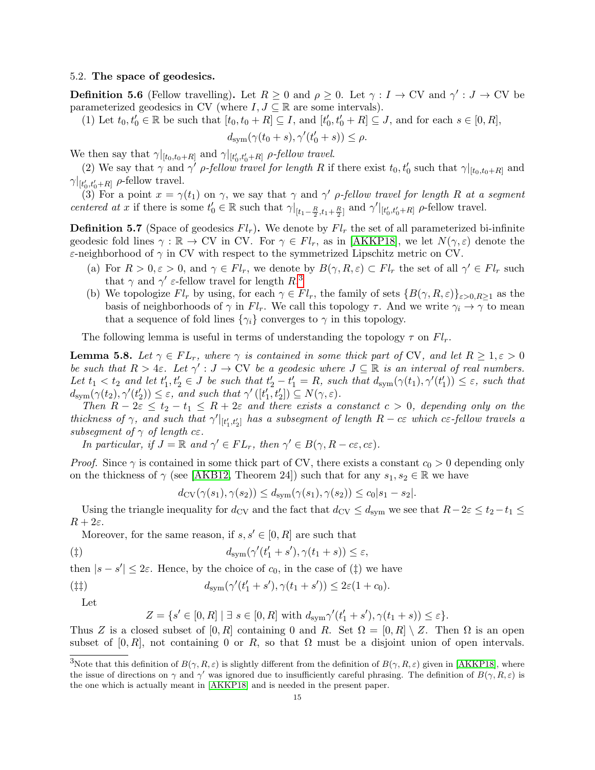## 5.2. The space of geodesics.

**Definition 5.6** (Fellow travelling). Let  $R \ge 0$  and  $\rho \ge 0$ . Let  $\gamma : I \to CV$  and  $\gamma' : J \to CV$  be parameterized geodesics in CV (where  $I, J \subseteq \mathbb{R}$  are some intervals).

(1) Let  $t_0, t'_0 \in \mathbb{R}$  be such that  $[t_0, t_0 + R] \subseteq I$ , and  $[t'_0, t'_0 + R] \subseteq J$ , and for each  $s \in [0, R]$ ,

$$
d_{\text{sym}}(\gamma(t_0+s),\gamma'(t_0'+s)) \leq \rho.
$$

We then say that  $\gamma|_{[t_0,t_0+R]}$  and  $\gamma|_{[t'_0,t'_0+R]}$  *ρ-fellow travel.* 

(2) We say that  $\gamma$  and  $\gamma'$  *ρ-fellow travel for length R* if there exist  $t_0, t'_0$  such that  $\gamma|_{[t_0,t_0+R]}$  and  $\gamma|_{[t'_0,t'_0+R]}$   $\rho$ -fellow travel.

(3) For a point  $x = \gamma(t_1)$  on  $\gamma$ , we say that  $\gamma$  and  $\gamma'$  *ρ-fellow travel for length R at a segment* centered at x if there is some  $t'_0 \in \mathbb{R}$  such that  $\gamma|_{[t_1-\frac{R}{2},t_1+\frac{R}{2}]}$  and  $\gamma'|_{[t'_0,t'_0+R]}$   $\rho$ -fellow travel.

**Definition 5.7** (Space of geodesics  $Fl_r$ ). We denote by  $Fl_r$  the set of all parameterized bi-infinite geodesic fold lines  $\gamma : \mathbb{R} \to \text{CV}$  in CV. For  $\gamma \in Fl_r$ , as in [\[AKKP18\]](#page-25-6), we let  $N(\gamma, \varepsilon)$  denote the ε-neighborhood of  $\gamma$  in CV with respect to the symmetrized Lipschitz metric on CV.

- (a) For  $R > 0, \varepsilon > 0$ , and  $\gamma \in Fl_r$ , we denote by  $B(\gamma, R, \varepsilon) \subset Fl_r$  the set of all  $\gamma' \in Fl_r$  such that  $\gamma$  and  $\gamma'$   $\varepsilon$ -fellow travel for length  $R$ <sup>[3](#page-0-0)</sup>
- (b) We topologize  $Fl_r$  by using, for each  $\gamma \in Fl_r$ , the family of sets  $\{B(\gamma, R, \varepsilon)\}_{\varepsilon > 0, R > 1}$  as the basis of neighborhoods of  $\gamma$  in  $Fl_r$ . We call this topology  $\tau$ . And we write  $\gamma_i \to \gamma$  to mean that a sequence of fold lines  $\{\gamma_i\}$  converges to  $\gamma$  in this topology.

The following lemma is useful in terms of understanding the topology  $\tau$  on  $Fl_r$ .

<span id="page-14-0"></span>**Lemma 5.8.** Let  $\gamma \in FL_r$ , where  $\gamma$  is contained in some thick part of CV, and let  $R \geq 1, \varepsilon > 0$ be such that  $R > 4\varepsilon$ . Let  $\gamma' : J \to CV$  be a geodesic where  $J \subseteq \mathbb{R}$  is an interval of real numbers. Let  $t_1 < t_2$  and let  $t'_1, t'_2 \in J$  be such that  $t'_2 - t'_1 = R$ , such that  $d_{sym}(\gamma(t_1), \gamma'(t'_1)) \leq \varepsilon$ , such that  $d_{\text{sym}}(\gamma(t_2), \gamma'(t'_2)) \leq \varepsilon$ , and such that  $\gamma'([t'_1, t'_2]) \subseteq N(\gamma, \varepsilon)$ .

Then  $R-2\varepsilon \leq t_2-t_1 \leq R+2\varepsilon$  and there exists a constanct  $c > 0$ , depending only on the thickness of  $\gamma$ , and such that  $\gamma'|_{[t_1', t_2']}$  has a subsegment of length  $R - c\varepsilon$  which c $\varepsilon$ -fellow travels a subsegment of  $\gamma$  of length c $\varepsilon$ .

In particular, if  $J = \mathbb{R}$  and  $\gamma' \in FL_r$ , then  $\gamma' \in B(\gamma, R - c\varepsilon, c\varepsilon)$ .

*Proof.* Since  $\gamma$  is contained in some thick part of CV, there exists a constant  $c_0 > 0$  depending only on the thickness of  $\gamma$  (see [\[AKB12,](#page-24-2) Theorem 24]) such that for any  $s_1, s_2 \in \mathbb{R}$  we have

$$
d_{\rm CV}(\gamma(s_1), \gamma(s_2)) \le d_{\rm sym}(\gamma(s_1), \gamma(s_2)) \le c_0 |s_1 - s_2|.
$$

Using the triangle inequality for  $d_{\text{CV}}$  and the fact that  $d_{\text{CV}} \leq d_{\text{sym}}$  we see that  $R-2\varepsilon \leq t_2-t_1 \leq$  $R+2\varepsilon$ .

Moreover, for the same reason, if  $s, s' \in [0, R]$  are such that

$$
d_{\rm sym}(\gamma'(t'_1+s'),\gamma(t_1+s)) \leq \varepsilon,
$$

then  $|s - s'| \leq 2\varepsilon$ . Hence, by the choice of  $c_0$ , in the case of  $(\ddagger)$  we have

$$
d_{\text{sym}}(\gamma'(t'_1+s'), \gamma(t_1+s')) \leq 2\varepsilon(1+c_0).
$$

Let

$$
Z = \{s' \in [0, R] \mid \exists s \in [0, R] \text{ with } d_{\text{sym}} \gamma'(t'_1 + s'), \gamma(t_1 + s)) \leq \varepsilon\}.
$$

Thus Z is a closed subset of [0, R] containing 0 and R. Set  $\Omega = [0, R] \setminus Z$ . Then  $\Omega$  is an open subset of [0, R], not containing 0 or R, so that  $\Omega$  must be a disjoint union of open intervals.

<sup>&</sup>lt;sup>3</sup>Note that this definition of  $B(\gamma, R, \varepsilon)$  is slightly different from the definition of  $B(\gamma, R, \varepsilon)$  given in [\[AKKP18\]](#page-25-6), where the issue of directions on  $\gamma$  and  $\gamma'$  was ignored due to insufficiently careful phrasing. The definition of  $B(\gamma, R, \varepsilon)$  is the one which is actually meant in [\[AKKP18\]](#page-25-6) and is needed in the present paper.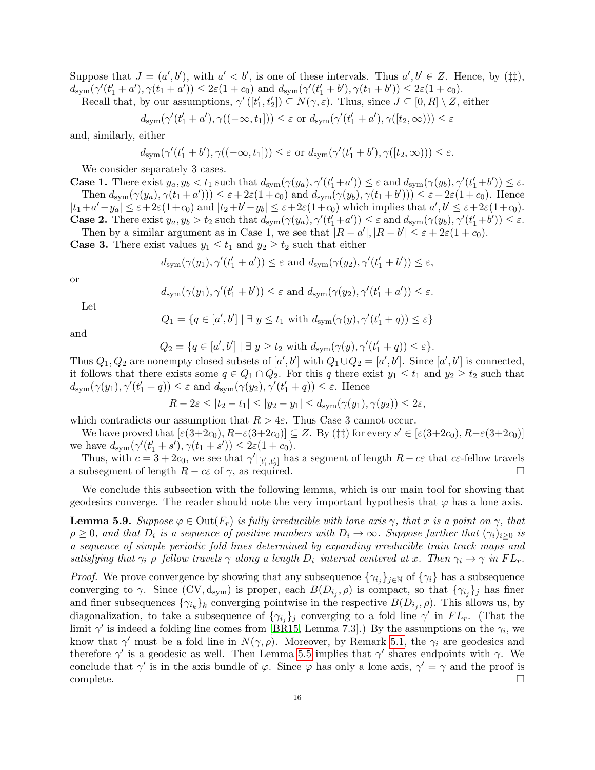Suppose that  $J = (a', b')$ , with  $a' < b'$ , is one of these intervals. Thus  $a', b' \in Z$ . Hence, by ( $\ddagger \ddagger$ ),  $d_{\text{sym}}(\gamma'(t'_1 + a'), \gamma(t_1 + a')) \leq 2\varepsilon(1 + c_0)$  and  $d_{\text{sym}}(\gamma'(t'_1 + b'), \gamma(t_1 + b')) \leq 2\varepsilon(1 + c_0)$ .

Recall that, by our assumptions,  $\gamma'([t'_1, t'_2]) \subseteq N(\gamma, \varepsilon)$ . Thus, since  $J \subseteq [0, R] \setminus Z$ , either

$$
d_{\text{sym}}(\gamma'(t'_1 + a'), \gamma((-\infty, t_1])) \leq \varepsilon \text{ or } d_{\text{sym}}(\gamma'(t'_1 + a'), \gamma([t_2, \infty))) \leq \varepsilon
$$

and, similarly, either

$$
d_{\text{sym}}(\gamma'(t'_1+b'),\gamma((-\infty,t_1])) \leq \varepsilon \text{ or } d_{\text{sym}}(\gamma'(t'_1+b'),\gamma([t_2,\infty))) \leq \varepsilon.
$$

We consider separately 3 cases.

**Case 1.** There exist  $y_a, y_b < t_1$  such that  $d_{sym}(\gamma(y_a), \gamma'(t'_1 + a')) \leq \varepsilon$  and  $d_{sym}(\gamma(y_b), \gamma'(t'_1 + b')) \leq \varepsilon$ . Then  $d_{sym}(\gamma(y_a), \gamma(t_1+a')) \leq \varepsilon + 2\varepsilon(1+c_0)$  and  $d_{sym}(\gamma(y_b), \gamma(t_1+b')) \leq \varepsilon + 2\varepsilon(1+c_0)$ . Hence  $|t_1+a'-y_a| \leq \varepsilon+2\varepsilon(1+c_0)$  and  $|t_2+b'-y_b| \leq \varepsilon+2\varepsilon(1+c_0)$  which implies that  $a', b' \leq \varepsilon+2\varepsilon(1+c_0)$ . **Case 2.** There exist  $y_a, y_b > t_2$  such that  $d_{sym}(\gamma(y_a), \gamma'(t'_1 + a')) \leq \varepsilon$  and  $d_{sym}(\gamma(y_b), \gamma'(t'_1 + b')) \leq \varepsilon$ .

Then by a similar argument as in Case 1, we see that  $|R - a'|, |R - b'| \leq \varepsilon + 2\varepsilon(1 + c_0)$ . **Case 3.** There exist values  $y_1 \le t_1$  and  $y_2 \ge t_2$  such that either

$$
d_{\text{sym}}(\gamma(y_1), \gamma'(t'_1 + a')) \leq \varepsilon \text{ and } d_{\text{sym}}(\gamma(y_2), \gamma'(t'_1 + b')) \leq \varepsilon,
$$

or

$$
d_{\text{sym}}(\gamma(y_1), \gamma'(t'_1 + b')) \leq \varepsilon
$$
 and  $d_{\text{sym}}(\gamma(y_2), \gamma'(t'_1 + a')) \leq \varepsilon$ .

Let

$$
Q_1 = \{ q \in [a', b'] \mid \exists y \le t_1 \text{ with } d_{\text{sym}}(\gamma(y), \gamma'(t_1' + q)) \le \varepsilon \}
$$

and

$$
Q_2 = \{ q \in [a', b'] \mid \exists y \ge t_2 \text{ with } d_{\text{sym}}(\gamma(y), \gamma'(t_1' + q)) \le \varepsilon \}.
$$

Thus  $Q_1, Q_2$  are nonempty closed subsets of  $[a', b']$  with  $Q_1 \cup Q_2 = [a', b']$ . Since  $[a', b']$  is connected, it follows that there exists some  $q \in Q_1 \cap Q_2$ . For this q there exist  $y_1 \le t_1$  and  $y_2 \ge t_2$  such that  $d_{sym}(\gamma(y_1), \gamma'(t'_1 + q)) \leq \varepsilon$  and  $d_{sym}(\gamma(y_2), \gamma'(t'_1 + q)) \leq \varepsilon$ . Hence

$$
R - 2\varepsilon \le |t_2 - t_1| \le |y_2 - y_1| \le d_{\text{sym}}(\gamma(y_1), \gamma(y_2)) \le 2\varepsilon,
$$

which contradicts our assumption that  $R > 4\varepsilon$ . Thus Case 3 cannot occur.

We have proved that  $[\varepsilon(3+2c_0), R-\varepsilon(3+2c_0)] \subseteq Z$ . By ( $\ddagger\ddagger$ ) for every  $s' \in [\varepsilon(3+2c_0), R-\varepsilon(3+2c_0)]$ we have  $d_{\text{sym}}(\gamma'(t'_1 + s'), \gamma(t_1 + s')) \leq 2\varepsilon(1 + c_0).$ 

Thus, with  $c = 3 + 2c_0$ , we see that  $\gamma' |_{[t'_1,t'_2]}$  has a segment of length  $R - c\varepsilon$  that  $c\varepsilon$ -fellow travels a subsegment of length  $R - c\varepsilon$  of  $\gamma$ , as required.

We conclude this subsection with the following lemma, which is our main tool for showing that geodesics converge. The reader should note the very important hypothesis that  $\varphi$  has a lone axis.

<span id="page-15-0"></span>**Lemma 5.9.** Suppose  $\varphi \in \text{Out}(F_r)$  is fully irreducible with lone axis  $\gamma$ , that x is a point on  $\gamma$ , that  $\rho \geq 0$ , and that  $D_i$  is a sequence of positive numbers with  $D_i \to \infty$ . Suppose further that  $(\gamma_i)_{i>0}$  is a sequence of simple periodic fold lines determined by expanding irreducible train track maps and satisfying that  $\gamma_i$  ρ–fellow travels  $\gamma$  along a length  $D_i$ –interval centered at x. Then  $\gamma_i \to \gamma$  in  $FL_r$ .

*Proof.* We prove convergence by showing that any subsequence  $\{\gamma_{i_j}\}_{j\in\mathbb{N}}$  of  $\{\gamma_i\}$  has a subsequence converging to  $\gamma$ . Since  $(CV, d_{sym})$  is proper, each  $B(D_{i_j}, \rho)$  is compact, so that  $\{\gamma_{i_j}\}_j$  has finer and finer subsequences  $\{\gamma_{i_k}\}_k$  converging pointwise in the respective  $B(D_{i_j}, \rho)$ . This allows us, by diagonalization, to take a subsequence of  $\{\gamma_{i_j}\}_j$  converging to a fold line  $\gamma'$  in  $FL_r$ . (That the limit  $\gamma'$  is indeed a folding line comes from [\[BR15,](#page-25-26) Lemma 7.3].) By the assumptions on the  $\gamma_i$ , we know that  $\gamma'$  must be a fold line in  $N(\gamma, \rho)$ . Moreover, by Remark [5.1,](#page-12-2) the  $\gamma_i$  are geodesics and therefore  $\gamma'$  is a geodesic as well. Then Lemma [5.5](#page-13-0) implies that  $\gamma'$  shares endpoints with  $\gamma$ . We conclude that  $\gamma'$  is in the axis bundle of  $\varphi$ . Since  $\varphi$  has only a lone axis,  $\gamma' = \gamma$  and the proof is complete. □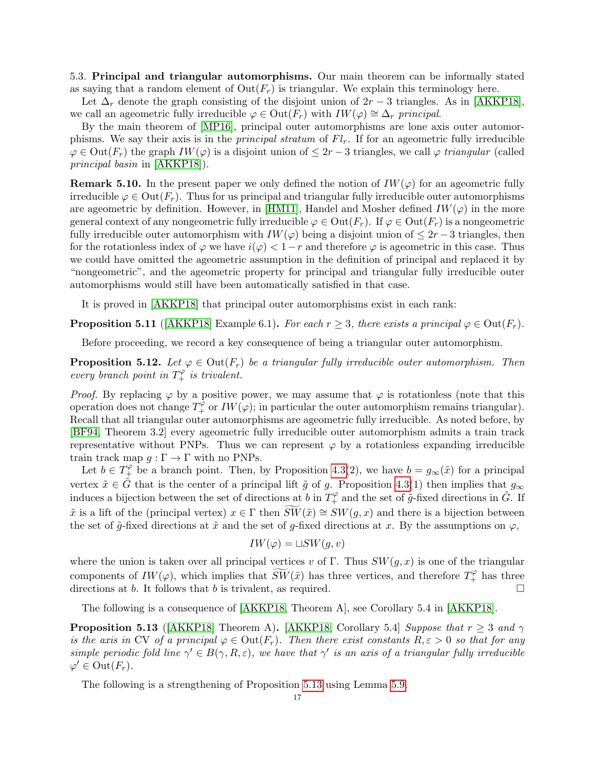5.3. Principal and triangular automorphisms. Our main theorem can be informally stated as saying that a random element of  $Out(F_r)$  is triangular. We explain this terminology here.

Let  $\Delta_r$  denote the graph consisting of the disjoint union of  $2r-3$  triangles. As in [\[AKKP18\]](#page-25-6), we call an ageometric fully irreducible  $\varphi \in \text{Out}(F_r)$  with  $IW(\varphi) \cong \Delta_r$  principal.

By the main theorem of [\[MP16\]](#page-26-3), principal outer automorphisms are lone axis outer automorphisms. We say their axis is in the *principal stratum* of  $Fl<sub>r</sub>$ . If for an ageometric fully irreducible  $\varphi \in \text{Out}(F_r)$  the graph  $IW(\varphi)$  is a disjoint union of  $\leq 2r-3$  triangles, we call  $\varphi$  triangular (called principal basin in [\[AKKP18\]](#page-25-6)).

**Remark 5.10.** In the present paper we only defined the notion of  $IW(\varphi)$  for an ageometric fully irreducible  $\varphi \in \text{Out}(F_r)$ . Thus for us principal and triangular fully irreducible outer automorphisms are ageometric by definition. However, in [\[HM11\]](#page-25-4), Handel and Mosher defined  $IW(\varphi)$  in the more general context of any nongeometric fully irreducible  $\varphi \in \text{Out}(F_r)$ . If  $\varphi \in \text{Out}(F_r)$  is a nongeometric fully irreducible outer automorphism with  $IW(\varphi)$  being a disjoint union of  $\leq 2r-3$  triangles, then for the rotationless index of  $\varphi$  we have  $i(\varphi) < 1-r$  and therefore  $\varphi$  is ageometric in this case. Thus we could have omitted the ageometric assumption in the definition of principal and replaced it by "nongeometric", and the ageometric property for principal and triangular fully irreducible outer automorphisms would still have been automatically satisfied in that case.

It is proved in [\[AKKP18\]](#page-25-6) that principal outer automorphisms exist in each rank:

<span id="page-16-1"></span>**Proposition 5.11** ([\[AKKP18\]](#page-25-6) Example 6.1). For each  $r \geq 3$ , there exists a principal  $\varphi \in \text{Out}(F_r)$ .

Before proceeding, we record a key consequence of being a triangular outer automorphism.

<span id="page-16-2"></span>**Proposition 5.12.** Let  $\varphi \in \text{Out}(F_r)$  be a triangular fully irreducible outer automorphism. Then every branch point in  $T_+^{\varphi}$  is trivalent.

*Proof.* By replacing  $\varphi$  by a positive power, we may assume that  $\varphi$  is rotationless (note that this operation does not change  $T_+^{\hat{\varphi}}$  or  $IW(\varphi)$ ; in particular the outer automorphism remains triangular). Recall that all triangular outer automorphisms are ageometric fully irreducible. As noted before, by [\[BF94,](#page-25-16) Theorem 3.2] every ageometric fully irreducible outer automorphism admits a train track representative without PNPs. Thus we can represent  $\varphi$  by a rotationless expanding irreducible train track map  $g : \Gamma \to \Gamma$  with no PNPs.

Let  $b \in T^{\varphi}_+$  be a branch point. Then, by Proposition [4.3\(](#page-11-0)2), we have  $b = g_{\infty}(\tilde{x})$  for a principal vertex  $\tilde{x} \in \tilde{G}$  that is the center of a principal lift  $\tilde{g}$  of g. Proposition [4.3\(](#page-11-0)1) then implies that  $g_{\infty}$ induces a bijection between the set of directions at b in  $T_+^{\varphi}$  and the set of  $\tilde{g}$ -fixed directions in  $\tilde{G}$ . If  $\tilde{x}$  is a lift of the (principal vertex)  $x \in \Gamma$  then  $\widetilde{SW}(\tilde{x}) \cong SW(g, x)$  and there is a bijection between the set of  $\tilde{q}$ -fixed directions at  $\tilde{x}$  and the set of g-fixed directions at x. By the assumptions on  $\varphi$ ,

$$
IW(\varphi) = \sqcup SW(g, v)
$$

where the union is taken over all principal vertices v of Γ. Thus  $SW(g, x)$  is one of the triangular components of  $IW(\varphi)$ , which implies that  $\widetilde{SW}(\tilde{x})$  has three vertices, and therefore  $T^{\varphi}_+$  has three directions at b. It follows that b is trivalent, as required.  $\Box$ 

The following is a consequence of [\[AKKP18,](#page-25-6) Theorem A], see Corollary 5.4 in [\[AKKP18\]](#page-25-6).

<span id="page-16-0"></span>**Proposition 5.13** ([\[AKKP18\]](#page-25-6) Theorem A). [\[AKKP18,](#page-25-6) Corollary 5.4] Suppose that  $r \geq 3$  and  $\gamma$ is the axis in CV of a principal  $\varphi \in \text{Out}(F_r)$ . Then there exist constants  $R, \varepsilon > 0$  so that for any simple periodic fold line  $\gamma' \in B(\gamma, R, \varepsilon)$ , we have that  $\gamma'$  is an axis of a triangular fully irreducible  $\varphi' \in \text{Out}(F_r).$ 

The following is a strengthening of Proposition [5.13](#page-16-0) using Lemma [5.9.](#page-15-0)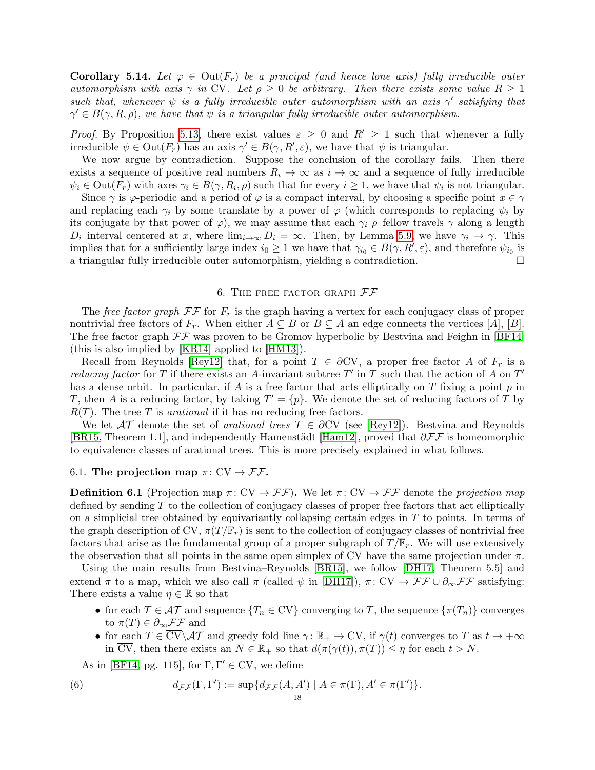<span id="page-17-1"></span>**Corollary 5.14.** Let  $\varphi \in \text{Out}(F_r)$  be a principal (and hence lone axis) fully irreducible outer automorphism with axis  $\gamma$  in CV. Let  $\rho \geq 0$  be arbitrary. Then there exists some value  $R \geq 1$ such that, whenever  $\psi$  is a fully irreducible outer automorphism with an axis  $\gamma'$  satisfying that  $\gamma' \in B(\gamma, R, \rho)$ , we have that  $\psi$  is a triangular fully irreducible outer automorphism.

*Proof.* By Proposition [5.13,](#page-16-0) there exist values  $\varepsilon \geq 0$  and  $R' \geq 1$  such that whenever a fully irreducible  $\psi \in \text{Out}(F_r)$  has an axis  $\gamma' \in B(\gamma, R', \varepsilon)$ , we have that  $\psi$  is triangular.

We now argue by contradiction. Suppose the conclusion of the corollary fails. Then there exists a sequence of positive real numbers  $R_i \to \infty$  as  $i \to \infty$  and a sequence of fully irreducible  $\psi_i \in \text{Out}(F_r)$  with axes  $\gamma_i \in B(\gamma, R_i, \rho)$  such that for every  $i \geq 1$ , we have that  $\psi_i$  is not triangular.

Since  $\gamma$  is  $\varphi$ -periodic and a period of  $\varphi$  is a compact interval, by choosing a specific point  $x \in \gamma$ and replacing each  $\gamma_i$  by some translate by a power of  $\varphi$  (which corresponds to replacing  $\psi_i$  by its conjugate by that power of  $\varphi$ ), we may assume that each  $\gamma_i$  *ρ*–fellow travels  $\gamma$  along a length  $D_i$ –interval centered at x, where  $\lim_{i\to\infty} D_i = \infty$ . Then, by Lemma [5.9,](#page-15-0) we have  $\gamma_i \to \gamma$ . This implies that for a sufficiently large index  $i_0 \geq 1$  we have that  $\gamma_{i_0} \in B(\gamma, R', \varepsilon)$ , and therefore  $\psi_{i_0}$  is a triangular fully irreducible outer automorphism, yielding a contradiction.

### 6. THE FREE FACTOR GRAPH  $FF$

<span id="page-17-0"></span>The free factor graph  $\mathcal{F}\mathcal{F}$  for  $F_r$  is the graph having a vertex for each conjugacy class of proper nontrivial free factors of  $F_r$ . When either  $A \subsetneq B$  or  $B \subsetneq A$  an edge connects the vertices [A], [B]. The free factor graph  $\mathcal{F}\mathcal{F}$  was proven to be Gromov hyperbolic by Bestvina and Feighn in [\[BF14\]](#page-25-5) (this is also implied by [\[KR14\]](#page-25-27) applied to [\[HM13\]](#page-25-28)).

Recall from Reynolds [\[Rey12\]](#page-26-12) that, for a point  $T \in \partial CV$ , a proper free factor A of  $F_r$  is a reducing factor for T if there exists an A-invariant subtree  $T'$  in T such that the action of A on  $T'$ has a dense orbit. In particular, if A is a free factor that acts elliptically on T fixing a point  $p$  in T, then A is a reducing factor, by taking  $T' = \{p\}$ . We denote the set of reducing factors of T by  $R(T)$ . The tree T is *arational* if it has no reducing free factors.

We let  $\mathcal{AT}$  denote the set of *arational trees*  $T \in \partial CV$  (see [\[Rey12\]](#page-26-12)). Bestvina and Reynolds [\[BR15,](#page-25-26) Theorem 1.1], and independently Hamenstädt [\[Ham12\]](#page-25-29), proved that  $\partial \mathcal{F} \mathcal{F}$  is homeomorphic to equivalence classes of arational trees. This is more precisely explained in what follows.

## 6.1. The projection map  $\pi: CV \rightarrow \mathcal{F}\mathcal{F}$ .

<span id="page-17-2"></span>**Definition 6.1** (Projection map  $\pi: CV \to FF$ ). We let  $\pi: CV \to FF$  denote the projection map defined by sending  $T$  to the collection of conjugacy classes of proper free factors that act elliptically on a simplicial tree obtained by equivariantly collapsing certain edges in  $T$  to points. In terms of the graph description of CV,  $\pi(T/\mathbb{F}_r)$  is sent to the collection of conjugacy classes of nontrivial free factors that arise as the fundamental group of a proper subgraph of  $T/\mathbb{F}_r$ . We will use extensively the observation that all points in the same open simplex of CV have the same projection under  $\pi$ .

Using the main results from Bestvina–Reynolds [\[BR15\]](#page-25-26), we follow [\[DH17,](#page-25-11) Theorem 5.5] and extend  $\pi$  to a map, which we also call  $\pi$  (called  $\psi$  in [\[DH17\]](#page-25-11)),  $\pi: \overline{CV} \to \mathcal{FF} \cup \partial_{\infty} \mathcal{FF}$  satisfying: There exists a value  $\eta \in \mathbb{R}$  so that

- for each  $T \in \mathcal{AT}$  and sequence  $\{T_n \in CV\}$  converging to T, the sequence  $\{\pi(T_n)\}\$ converges to  $\pi(T) \in \partial_{\infty} \mathcal{F} \mathcal{F}$  and
- for each  $T \in \overline{CV} \setminus \mathcal{AT}$  and greedy fold line  $\gamma: \mathbb{R}_+ \to \mathbb{C}V$ , if  $\gamma(t)$  converges to T as  $t \to +\infty$ in  $\overline{CV}$ , then there exists an  $N \in \mathbb{R}_+$  so that  $d(\pi(\gamma(t)), \pi(T)) \leq \eta$  for each  $t > N$ .

As in [\[BF14,](#page-25-5) pg. 115], for  $\Gamma, \Gamma' \in CV$ , we define

(6) 
$$
d_{\mathcal{F}\mathcal{F}}(\Gamma,\Gamma') := \sup \{ d_{\mathcal{F}\mathcal{F}}(A,A') \mid A \in \pi(\Gamma), A' \in \pi(\Gamma') \}.
$$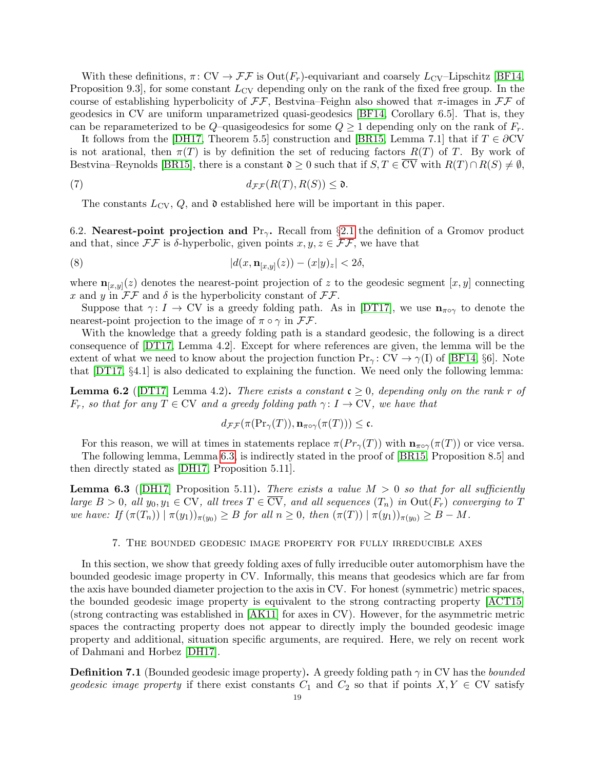With these definitions,  $\pi: CV \to \mathcal{F}\mathcal{F}$  is  $Out(F_r)$ -equivariant and coarsely  $L_{CV}$ -Lipschitz [\[BF14,](#page-25-5) Proposition 9.3, for some constant  $L_{\text{CV}}$  depending only on the rank of the fixed free group. In the course of establishing hyperbolicity of  $\mathcal{F}\mathcal{F}$ , Bestvina–Feighn also showed that  $\pi$ -images in  $\mathcal{F}\mathcal{F}$  of geodesics in CV are uniform unparametrized quasi-geodesics [\[BF14,](#page-25-5) Corollary 6.5]. That is, they can be reparameterized to be Q–quasigeodesics for some  $Q \geq 1$  depending only on the rank of  $F_r$ .

It follows from the [\[DH17,](#page-25-11) Theorem 5.5] construction and [\[BR15,](#page-25-26) Lemma 7.1] that if  $T \in \partial CV$ is not arational, then  $\pi(T)$  is by definition the set of reducing factors  $R(T)$  of T. By work of Bestvina–Reynolds [\[BR15\]](#page-25-26), there is a constant  $\mathfrak{d} \geq 0$  such that if  $S, T \in \overline{CV}$  with  $R(T) \cap R(S) \neq \emptyset$ ,

(7) 
$$
d_{\mathcal{F}\mathcal{F}}(R(T), R(S)) \leq \mathfrak{d}.
$$

<span id="page-18-3"></span><span id="page-18-2"></span>The constants  $L_{\text{CV}}$ ,  $Q$ , and  $\mathfrak d$  established here will be important in this paper.

6.2. Nearest-point projection and  $Pr_\gamma$ . Recall from §[2.1](#page-3-0) the definition of a Gromov product and that, since  $\mathcal{F}\mathcal{F}$  is  $\delta$ -hyperbolic, given points  $x, y, z \in \mathcal{F}\mathcal{F}$ , we have that

(8) 
$$
|d(x, \mathbf{n}_{[x,y]}(z)) - (x|y)_z| < 2\delta,
$$

where  $\mathbf{n}_{[x,y]}(z)$  denotes the nearest-point projection of z to the geodesic segment  $[x,y]$  connecting x and y in  $\mathcal{F}\mathcal{F}$  and  $\delta$  is the hyperbolicity constant of  $\mathcal{F}\mathcal{F}$ .

Suppose that  $\gamma: I \to \text{CV}$  is a greedy folding path. As in [\[DT17\]](#page-25-7), we use  $\mathbf{n}_{\pi \circ \gamma}$  to denote the nearest-point projection to the image of  $\pi \circ \gamma$  in  $\mathcal{F}\mathcal{F}$ .

With the knowledge that a greedy folding path is a standard geodesic, the following is a direct consequence of [\[DT17,](#page-25-7) Lemma 4.2]. Except for where references are given, the lemma will be the extent of what we need to know about the projection function  $Pr_\gamma: CV \to \gamma(I)$  of [\[BF14,](#page-25-5) §6]. Note that [\[DT17,](#page-25-7) §4.1] is also dedicated to explaining the function. We need only the following lemma:

<span id="page-18-1"></span>**Lemma 6.2** ([\[DT17\]](#page-25-7) Lemma 4.2). There exists a constant  $c \geq 0$ , depending only on the rank r of  $F_r$ , so that for any  $T \in \text{CV}$  and a greedy folding path  $\gamma: I \to \text{CV}$ , we have that

$$
d_{\mathcal{F}\mathcal{F}}(\pi(\mathrm{Pr}_{\gamma}(T)), \mathbf{n}_{\pi\circ\gamma}(\pi(T))) \leq \mathfrak{c}.
$$

For this reason, we will at times in statements replace  $\pi(P_{r_{\gamma}}(T))$  with  $\mathbf{n}_{\pi\circ\gamma}(\pi(T))$  or vice versa.

The following lemma, Lemma [6.3,](#page-18-0) is indirectly stated in the proof of [\[BR15,](#page-25-26) Proposition 8.5] and then directly stated as [\[DH17,](#page-25-11) Proposition 5.11].

<span id="page-18-0"></span>**Lemma 6.3** ([\[DH17\]](#page-25-11) Proposition 5.11). There exists a value  $M > 0$  so that for all sufficiently large  $B > 0$ , all  $y_0, y_1 \in CV$ , all trees  $T \in \overline{CV}$ , and all sequences  $(T_n)$  in  $Out(F_r)$  converging to T we have: If  $(\pi(T_n)) | \pi(y_1)_{\pi(y_0)} \geq B$  for all  $n \geq 0$ , then  $(\pi(T)) | \pi(y_1)_{\pi(y_0)} \geq B - M$ .

## 7. The bounded geodesic image property for fully irreducible axes

In this section, we show that greedy folding axes of fully irreducible outer automorphism have the bounded geodesic image property in CV. Informally, this means that geodesics which are far from the axis have bounded diameter projection to the axis in CV. For honest (symmetric) metric spaces, the bounded geodesic image property is equivalent to the strong contracting property [\[ACT15\]](#page-24-3) (strong contracting was established in [\[AK11\]](#page-24-0) for axes in CV). However, for the asymmetric metric spaces the contracting property does not appear to directly imply the bounded geodesic image property and additional, situation specific arguments, are required. Here, we rely on recent work of Dahmani and Horbez [\[DH17\]](#page-25-11).

**Definition 7.1** (Bounded geodesic image property). A greedy folding path  $\gamma$  in CV has the *bounded* geodesic image property if there exist constants  $C_1$  and  $C_2$  so that if points  $X, Y \in CV$  satisfy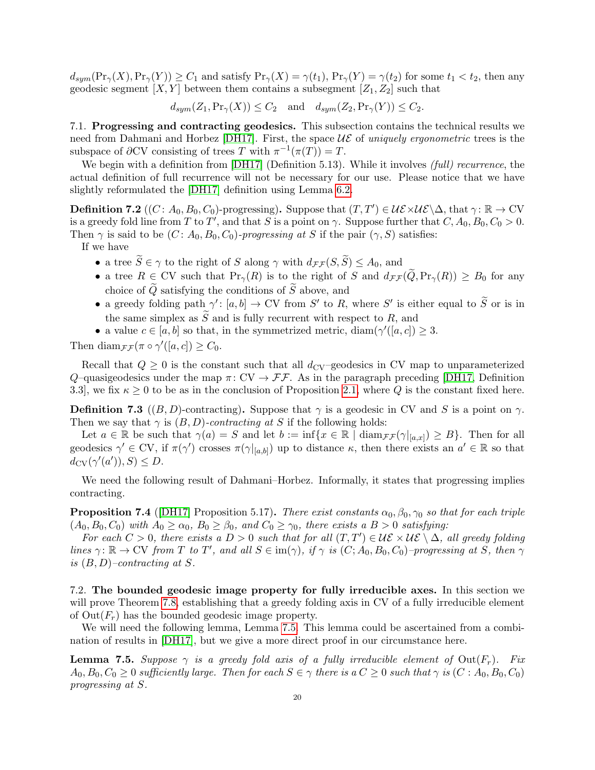$d_{sym}(\Pr_{\gamma}(X),\Pr_{\gamma}(Y)) \geq C_1$  and satisfy  $\Pr_{\gamma}(X) = \gamma(t_1)$ ,  $\Pr_{\gamma}(Y) = \gamma(t_2)$  for some  $t_1 < t_2$ , then any geodesic segment  $[X, Y]$  between them contains a subsegment  $[Z_1, Z_2]$  such that

 $d_{sym}(Z_1,\Pr_{\gamma}(X)) \leq C_2$  and  $d_{sym}(Z_2,\Pr_{\gamma}(Y)) \leq C_2$ .

7.1. Progressing and contracting geodesics. This subsection contains the technical results we need from Dahmani and Horbez [\[DH17\]](#page-25-11). First, the space  $\mathcal{UE}$  of uniquely ergonometric trees is the subspace of  $\partial CV$  consisting of trees T with  $\pi^{-1}(\pi(T)) = T$ .

We begin with a definition from [\[DH17\]](#page-25-11) (Definition 5.13). While it involves *(full) recurrence*, the actual definition of full recurrence will not be necessary for our use. Please notice that we have slightly reformulated the [\[DH17\]](#page-25-11) definition using Lemma [6.2.](#page-18-1)

**Definition 7.2**  $((C: A_0, B_0, C_0)$ -progressing). Suppose that  $(T, T') \in \mathcal{UE} \setminus \Delta$ , that  $\gamma : \mathbb{R} \to \mathrm{CV}$ is a greedy fold line from T to T', and that S is a point on  $\gamma$ . Suppose further that  $C, A_0, B_0, C_0 > 0$ . Then  $\gamma$  is said to be  $(C: A_0, B_0, C_0)$ -progressing at S if the pair  $(\gamma, S)$  satisfies:

If we have

- a tree  $\widetilde{S} \in \gamma$  to the right of S along  $\gamma$  with  $d_{\mathcal{F} \mathcal{F}}(S, \widetilde{S}) \leq A_0$ , and
- a tree  $R \in CV$  such that  $Pr_{\gamma}(R)$  is to the right of S and  $d_{\mathcal{F}\mathcal{F}}(\tilde{Q}, Pr_{\gamma}(R)) \geq B_0$  for any choice of  $\widetilde{Q}$  satisfying the conditions of  $\widetilde{S}$  above, and
- a greedy folding path  $\gamma' : [a, b] \to \text{CV}$  from S' to R, where S' is either equal to  $\widetilde{S}$  or is in the same simplex as  $\widetilde{S}$  and is fully recurrent with respect to R, and
- a value  $c \in [a, b]$  so that, in the symmetrized metric, diam( $\gamma'([a, c]) \geq 3$ .

Then diam $\mathfrak{f}_{\mathcal{F}}(\pi \circ \gamma'([a,c]) \geq C_0$ .

Recall that  $Q \geq 0$  is the constant such that all  $d_{CV}$ –geodesics in CV map to unparameterized Q-quasigeodesics under the map  $\pi: CV \to FF$ . As in the paragraph preceding [\[DH17,](#page-25-11) Definition 3.3], we fix  $\kappa \geq 0$  to be as in the conclusion of Proposition [2.1,](#page-5-2) where Q is the constant fixed here.

**Definition 7.3** ((B, D)-contracting). Suppose that  $\gamma$  is a geodesic in CV and S is a point on  $\gamma$ . Then we say that  $\gamma$  is  $(B, D)$ -contracting at S if the following holds:

Let  $a \in \mathbb{R}$  be such that  $\gamma(a) = S$  and let  $b := \inf\{x \in \mathbb{R} \mid \text{diam}_{\mathcal{FF}}(\gamma|_{[a,x]}) \geq B\}$ . Then for all geodesics  $\gamma' \in CV$ , if  $\pi(\gamma')$  crosses  $\pi(\gamma|_{[a,b]})$  up to distance  $\kappa$ , then there exists an  $a' \in \mathbb{R}$  so that  $d_{\text{CV}}(\gamma'(a')), S) \leq D.$ 

We need the following result of Dahmani–Horbez. Informally, it states that progressing implies contracting.

<span id="page-19-1"></span>**Proposition 7.4** ([\[DH17\]](#page-25-11) Proposition 5.17). There exist constants  $\alpha_0, \beta_0, \gamma_0$  so that for each triple  $(A_0, B_0, C_0)$  with  $A_0 \ge \alpha_0$ ,  $B_0 \ge \beta_0$ , and  $C_0 \ge \gamma_0$ , there exists a  $B > 0$  satisfying:

For each  $C > 0$ , there exists a  $D > 0$  such that for all  $(T, T') \in \mathcal{UE} \setminus \Delta$ , all greedy folding lines  $\gamma: \mathbb{R} \to \mathrm{CV}$  from T to T', and all  $S \in \mathrm{im}(\gamma)$ , if  $\gamma$  is  $(C; A_0, B_0, C_0)$ -progressing at S, then  $\gamma$ is  $(B, D)$ -contracting at S.

7.2. The bounded geodesic image property for fully irreducible axes. In this section we will prove Theorem [7.8,](#page-21-0) establishing that a greedy folding axis in CV of a fully irreducible element of  $Out(F_r)$  has the bounded geodesic image property.

We will need the following lemma, Lemma [7.5.](#page-19-0) This lemma could be ascertained from a combination of results in [\[DH17\]](#page-25-11), but we give a more direct proof in our circumstance here.

<span id="page-19-0"></span>**Lemma 7.5.** Suppose  $\gamma$  is a greedy fold axis of a fully irreducible element of  $Out(F_r)$ . Fix  $A_0, B_0, C_0 \geq 0$  sufficiently large. Then for each  $S \in \gamma$  there is a  $C \geq 0$  such that  $\gamma$  is  $(C : A_0, B_0, C_0)$ progressing at S.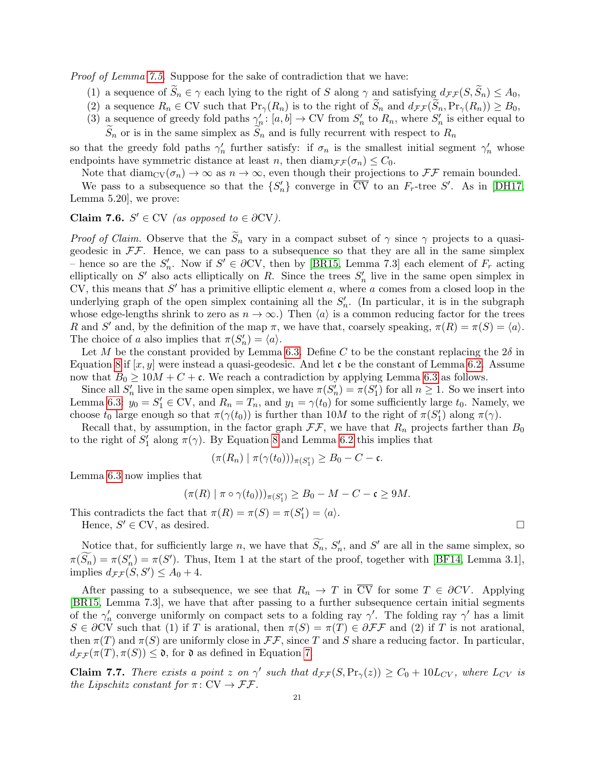Proof of Lemma [7.5.](#page-19-0) Suppose for the sake of contradiction that we have:

- (1) a sequence of  $\widetilde{S}_n \in \gamma$  each lying to the right of S along  $\gamma$  and satisfying  $d_{\mathcal{F}\mathcal{F}}(S, \widetilde{S}_n) \leq A_0$ ,
- (2) a sequence  $R_n \in CV$  such that  $Pr_{\gamma}(R_n)$  is to the right of  $\widetilde{S}_n$  and  $d_{\mathcal{FF}}(\widetilde{S}_n, Pr_{\gamma}(R_n)) \geq B_0$ ,
- (3) a sequence of greedy fold paths  $\gamma'_n: [a, b] \to \text{CV}$  from  $S'_n$  to  $R_n$ , where  $S'_n$  is either equal to  $\widetilde{S}_n$  or is in the same simplex as  $\widetilde{S}_n$  and is fully recurrent with respect to  $R_n$

so that the greedy fold paths  $\gamma'_n$  further satisfy: if  $\sigma_n$  is the smallest initial segment  $\gamma'_n$  whose endpoints have symmetric distance at least n, then  $\text{diam}_{\mathcal{FF}}(\sigma_n) \leq C_0$ .

Note that  $\text{diam}_{\text{CV}}(\sigma_n) \to \infty$  as  $n \to \infty$ , even though their projections to  $\mathcal{F}\mathcal{F}$  remain bounded.

We pass to a subsequence so that the  $\{S'_n\}$  converge in  $\overline{CV}$  to an  $F_r$ -tree  $S'$ . As in [\[DH17,](#page-25-11) Lemma 5.20], we prove:

# Claim 7.6.  $S' \in CV$  (as opposed to  $\in \partial CV$ ).

*Proof of Claim.* Observe that the  $\tilde{S}_n$  vary in a compact subset of  $\gamma$  since  $\gamma$  projects to a quasigeodesic in  $\mathcal{F}\mathcal{F}$ . Hence, we can pass to a subsequence so that they are all in the same simplex – hence so are the  $S'_n$ . Now if  $S' \in \partial CV$ , then by [\[BR15,](#page-25-26) Lemma 7.3] each element of  $F_r$  acting elliptically on  $S'$  also acts elliptically on R. Since the trees  $S'_n$  live in the same open simplex in CV, this means that  $S'$  has a primitive elliptic element  $a$ , where  $a$  comes from a closed loop in the underlying graph of the open simplex containing all the  $S_n'$ . (In particular, it is in the subgraph whose edge-lengths shrink to zero as  $n \to \infty$ .) Then  $\langle a \rangle$  is a common reducing factor for the trees R and S' and, by the definition of the map  $\pi$ , we have that, coarsely speaking,  $\pi(R) = \pi(S) = \langle a \rangle$ . The choice of a also implies that  $\pi(S'_n) = \langle a \rangle$ .

Let M be the constant provided by Lemma [6.3.](#page-18-0) Define C to be the constant replacing the  $2\delta$  in Equation [8](#page-18-2) if  $[x, y]$  were instead a quasi-geodesic. And let c be the constant of Lemma [6.2.](#page-18-1) Assume now that  $B_0 \geq 10M + C + c$ . We reach a contradiction by applying Lemma [6.3](#page-18-0) as follows.

Since all  $S'_n$  live in the same open simplex, we have  $\pi(S'_n) = \pi(S'_1)$  for all  $n \geq 1$ . So we insert into Lemma [6.3:](#page-18-0)  $y_0 = S_1' \in CV$ , and  $R_n = T_n$ , and  $y_1 = \gamma(t_0)$  for some sufficiently large  $t_0$ . Namely, we choose  $t_0$  large enough so that  $\pi(\gamma(t_0))$  is further than  $10M$  to the right of  $\pi(S'_1)$  along  $\pi(\gamma)$ .

Recall that, by assumption, in the factor graph  $\mathcal{F}\mathcal{F}$ , we have that  $R_n$  projects farther than  $B_0$ to the right of  $S'_1$  along  $\pi(\gamma)$ . By Equation [8](#page-18-2) and Lemma [6.2](#page-18-1) this implies that

$$
(\pi(R_n) | \pi(\gamma(t_0)))_{\pi(S'_1)} \geq B_0 - C - \mathfrak{c}.
$$

Lemma [6.3](#page-18-0) now implies that

$$
(\pi(R) | \pi \circ \gamma(t_0))\rangle_{\pi(S'_1)} \geq B_0 - M - C - \mathfrak{c} \geq 9M.
$$

This contradicts the fact that  $\pi(R) = \pi(S) = \pi(S'_1) = \langle a \rangle$ . Hence,  $S' \in \text{CV}$ , as desired.

Notice that, for sufficiently large n, we have that  $S_n$ ,  $S'_n$ , and  $S'$  are all in the same simplex, so  $\pi(S_n) = \pi(S_n') = \pi(S')$ . Thus, Item 1 at the start of the proof, together with [\[BF14,](#page-25-5) Lemma 3.1], implies  $d_{\mathcal{F}\mathcal{F}}(S, S') \leq A_0 + 4.$ 

After passing to a subsequence, we see that  $R_n \to T$  in  $\overline{CV}$  for some  $T \in \partial CV$ . Applying [\[BR15,](#page-25-26) Lemma 7.3], we have that after passing to a further subsequence certain initial segments of the  $\gamma'_n$  converge uniformly on compact sets to a folding ray  $\gamma'$ . The folding ray  $\gamma'$  has a limit  $S \in \partial CV$  such that (1) if T is arational, then  $\pi(S) = \pi(T) \in \partial \mathcal{FF}$  and (2) if T is not arational, then  $\pi(T)$  and  $\pi(S)$  are uniformly close in  $\mathcal{F}\mathcal{F}$ , since T and S share a reducing factor. In particular,  $d_{\mathcal{F}\mathcal{F}}(\pi(T), \pi(S)) \leq \mathfrak{d}$ , for  $\mathfrak{d}$  as defined in Equation [7.](#page-18-3)

<span id="page-20-0"></span>**Claim 7.7.** There exists a point z on  $\gamma'$  such that  $d_{\mathcal{F}\mathcal{F}}(S, Pr_{\gamma}(z)) \geq C_0 + 10L_{CV}$ , where  $L_{CV}$  is the Lipschitz constant for  $\pi: CV \to \mathcal{F}\mathcal{F}$ .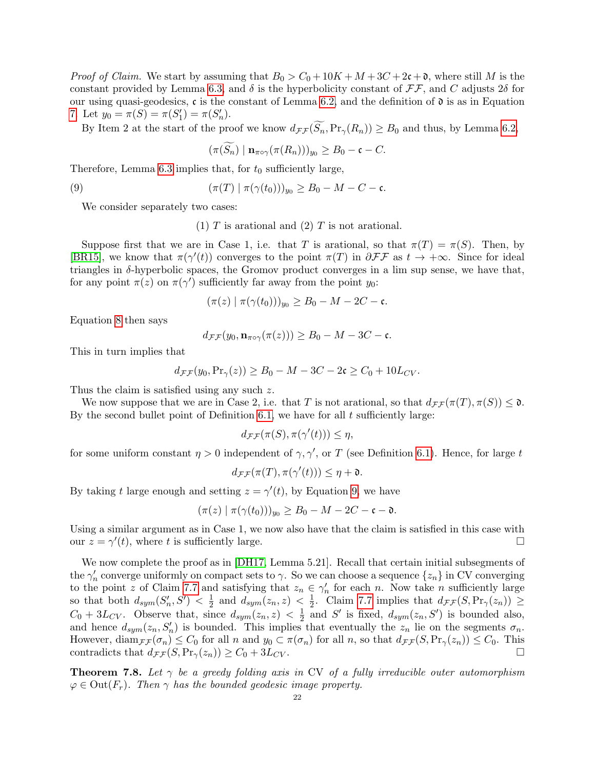*Proof of Claim.* We start by assuming that  $B_0 > C_0 + 10K + M + 3C + 2c + \mathfrak{d}$ , where still M is the constant provided by Lemma [6.3,](#page-18-0) and  $\delta$  is the hyperbolicity constant of  $\mathcal{F}\mathcal{F}$ , and C adjusts  $2\delta$  for our using quasi-geodesics,  $\mathfrak c$  is the constant of Lemma [6.2,](#page-18-1) and the definition of  $\mathfrak d$  is as in Equation [7.](#page-18-3) Let  $y_0 = \pi(S) = \pi(S'_1) = \pi(S'_n)$ .

By Item 2 at the start of the proof we know  $d_{\mathcal{F}\mathcal{F}}(\widetilde{S}_n,\Pr_\gamma(R_n)) \geq B_0$  and thus, by Lemma [6.2,](#page-18-1)

<span id="page-21-1"></span>
$$
(\pi(S_n) | \mathbf{n}_{\pi \circ \gamma}(\pi(R_n)))_{y_0} \geq B_0 - \mathfrak{c} - C.
$$

Therefore, Lemma [6.3](#page-18-0) implies that, for  $t_0$  sufficiently large,

(9)  $(\pi(T) | \pi(\gamma(t_0)))_{y_0} \ge B_0 - M - C - \mathfrak{c}.$ 

We consider separately two cases:

(1)  $T$  is arational and (2)  $T$  is not arational.

Suppose first that we are in Case 1, i.e. that T is arational, so that  $\pi(T) = \pi(S)$ . Then, by [\[BR15\]](#page-25-26), we know that  $\pi(\gamma'(t))$  converges to the point  $\pi(T)$  in  $\partial \mathcal{F}\mathcal{F}$  as  $t \to +\infty$ . Since for ideal triangles in  $\delta$ -hyperbolic spaces, the Gromov product converges in a lim sup sense, we have that, for any point  $\pi(z)$  on  $\pi(\gamma')$  sufficiently far away from the point  $y_0$ :

$$
(\pi(z) | \pi(\gamma(t_0)))_{y_0} \geq B_0 - M - 2C - \mathfrak{c}.
$$

Equation [8](#page-18-2) then says

$$
d_{\mathcal{F}\mathcal{F}}(y_0, \mathbf{n}_{\pi\circ\gamma}(\pi(z))) \geq B_0 - M - 3C - \mathfrak{c}.
$$

This in turn implies that

$$
d_{\mathcal{F}\mathcal{F}}(y_0, \Pr_{\gamma}(z)) \ge B_0 - M - 3C - 2\mathfrak{c} \ge C_0 + 10L_{CV}.
$$

Thus the claim is satisfied using any such z.

We now suppose that we are in Case 2, i.e. that T is not arational, so that  $d_{\mathcal{F}\mathcal{F}}(\pi(T), \pi(S)) \leq \mathfrak{d}$ . By the second bullet point of Definition [6.1,](#page-17-2) we have for all  $t$  sufficiently large:

$$
d_{\mathcal{F}\mathcal{F}}(\pi(S), \pi(\gamma'(t))) \leq \eta,
$$

for some uniform constant  $\eta > 0$  independent of  $\gamma$ ,  $\gamma'$ , or T (see Definition [6.1\)](#page-17-2). Hence, for large t

$$
d_{\mathcal{F}\mathcal{F}}(\pi(T), \pi(\gamma'(t))) \leq \eta + \mathfrak{d}.
$$

By taking t large enough and setting  $z = \gamma'(t)$ , by Equation [9,](#page-21-1) we have

$$
(\pi(z) | \pi(\gamma(t_0)))_{y_0} \geq B_0 - M - 2C - \mathfrak{c} - \mathfrak{d}.
$$

Using a similar argument as in Case 1, we now also have that the claim is satisfied in this case with our  $z = \gamma'(t)$ , where t is sufficiently large.

We now complete the proof as in [\[DH17,](#page-25-11) Lemma 5.21]. Recall that certain initial subsegments of the  $\gamma'_n$  converge uniformly on compact sets to  $\gamma$ . So we can choose a sequence  $\{z_n\}$  in CV converging to the point z of Claim [7.7](#page-20-0) and satisfying that  $z_n \in \gamma'_n$  for each n. Now take n sufficiently large so that both  $d_{sym}(S_n',S') < \frac{1}{2}$  $\frac{1}{2}$  and  $d_{sym}(z_n, z) < \frac{1}{2}$  $\frac{1}{2}$ . Claim [7.7](#page-20-0) implies that  $d_{\mathcal{F}\mathcal{F}}(S, \Pr_{\gamma}(z_n)) \geq$  $C_0 + 3L_{CV}$ . Observe that, since  $d_{sym}(z_n, z) < \frac{1}{2}$  $\frac{1}{2}$  and S' is fixed,  $d_{sym}(z_n, S')$  is bounded also, and hence  $d_{sym}(z_n, S'_n)$  is bounded. This implies that eventually the  $z_n$  lie on the segments  $\sigma_n$ . However,  $\text{diam}_{\mathcal{F}\mathcal{F}}(\sigma_n) \leq C_0$  for all n and  $y_0 \subset \pi(\sigma_n)$  for all n, so that  $d_{\mathcal{F}\mathcal{F}}(S, \Pr_\gamma(z_n)) \leq C_0$ . This contradicts that  $d_{\mathcal{F}\mathcal{F}}(S, \Pr_{\gamma}(z_n)) \geq C_0 + 3L_{CV}$ .

<span id="page-21-0"></span>**Theorem 7.8.** Let  $\gamma$  be a greedy folding axis in CV of a fully irreducible outer automorphism  $\varphi \in \text{Out}(F_r)$ . Then  $\gamma$  has the bounded geodesic image property.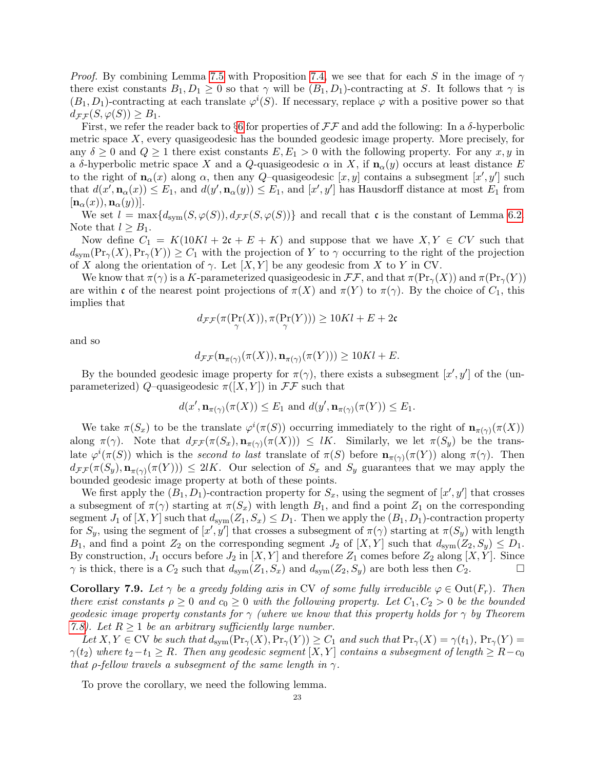*Proof.* By combining Lemma [7.5](#page-19-0) with Proposition [7.4,](#page-19-1) we see that for each S in the image of  $\gamma$ there exist constants  $B_1, D_1 \geq 0$  so that  $\gamma$  will be  $(B_1, D_1)$ -contracting at S. It follows that  $\gamma$  is  $(B_1, D_1)$ -contracting at each translate  $\varphi^i(S)$ . If necessary, replace  $\varphi$  with a positive power so that  $d_{\mathcal{F}\mathcal{F}}(S,\varphi(S)) \geq B_1.$ 

First, we refer the reader back to §[6](#page-17-0) for properties of  $\mathcal{F}\mathcal{F}$  and add the following: In a  $\delta$ -hyperbolic metric space  $X$ , every quasigeodesic has the bounded geodesic image property. More precisely, for any  $\delta \geq 0$  and  $Q \geq 1$  there exist constants  $E, E_1 > 0$  with the following property. For any  $x, y$  in a δ-hyperbolic metric space X and a Q-quasigeodesic  $\alpha$  in X, if  $\mathbf{n}_{\alpha}(y)$  occurs at least distance E to the right of  $\mathbf{n}_{\alpha}(x)$  along  $\alpha$ , then any Q-quasigeodesic  $[x, y]$  contains a subsegment  $[x', y']$  such that  $d(x', \mathbf{n}_{\alpha}(x)) \leq E_1$ , and  $d(y', \mathbf{n}_{\alpha}(y)) \leq E_1$ , and  $[x', y']$  has Hausdorff distance at most  $E_1$  from  $[\mathbf{n}_{\alpha}(x)), \mathbf{n}_{\alpha}(y)]$ .

We set  $l = \max\{d_{sym}(S, \varphi(S)), d_{\mathcal{F}\mathcal{F}}(S, \varphi(S))\}$  and recall that c is the constant of Lemma [6.2.](#page-18-1) Note that  $l \geq B_1$ .

Now define  $C_1 = K(10Kl + 2\mathfrak{c} + E + K)$  and suppose that we have  $X, Y \in CV$  such that  $d_{\text{sym}}(\text{Pr}_{\gamma}(X),\text{Pr}_{\gamma}(Y)) \geq C_1$  with the projection of Y to  $\gamma$  occurring to the right of the projection of X along the orientation of  $\gamma$ . Let  $[X, Y]$  be any geodesic from X to Y in CV.

We know that  $\pi(\gamma)$  is a K-parameterized quasigeodesic in  $\mathcal{F}\mathcal{F}$ , and that  $\pi(\text{Pr}_{\gamma}(X))$  and  $\pi(\text{Pr}_{\gamma}(Y))$ are within c of the nearest point projections of  $\pi(X)$  and  $\pi(Y)$  to  $\pi(\gamma)$ . By the choice of  $C_1$ , this implies that

$$
d_{\mathcal{F}\mathcal{F}}(\pi(\Pr_{\gamma}(X)), \pi(\Pr_{\gamma}(Y))) \ge 10Kl + E + 2\mathfrak{c}
$$

and so

$$
d_{\mathcal{F}\mathcal{F}}(\mathbf{n}_{\pi(\gamma)}(\pi(X)), \mathbf{n}_{\pi(\gamma)}(\pi(Y))) \ge 10Kl + E.
$$

By the bounded geodesic image property for  $\pi(\gamma)$ , there exists a subsegment  $[x', y']$  of the (unparameterized) Q–quasigeodesic  $\pi([X, Y])$  in  $\mathcal{F}\mathcal{F}$  such that

$$
d(x', \mathbf{n}_{\pi(\gamma)}(\pi(X)) \le E_1
$$
 and  $d(y', \mathbf{n}_{\pi(\gamma)}(\pi(Y)) \le E_1$ .

We take  $\pi(S_x)$  to be the translate  $\varphi^i(\pi(S))$  occurring immediately to the right of  $\mathbf{n}_{\pi(\gamma)}(\pi(X))$ along  $\pi(\gamma)$ . Note that  $d_{\mathcal{F}\mathcal{F}}(\pi(S_x), \mathbf{n}_{\pi(\gamma)}(\pi(X))) \leq lK$ . Similarly, we let  $\pi(S_y)$  be the translate  $\varphi^i(\pi(S))$  which is the second to last translate of  $\pi(S)$  before  $\mathbf{n}_{\pi(\gamma)}(\pi(Y))$  along  $\pi(\gamma)$ . Then  $d_{\mathcal{F}\mathcal{F}}(\pi(S_y), \mathbf{n}_{\pi(\gamma)}(\pi(Y))) \leq 2lK$ . Our selection of  $S_x$  and  $S_y$  guarantees that we may apply the bounded geodesic image property at both of these points.

We first apply the  $(B_1, D_1)$ -contraction property for  $S_x$ , using the segment of  $[x', y']$  that crosses a subsegment of  $\pi(\gamma)$  starting at  $\pi(S_x)$  with length  $B_1$ , and find a point  $Z_1$  on the corresponding segment  $J_1$  of  $[X, Y]$  such that  $d_{sym}(Z_1, S_x) \leq D_1$ . Then we apply the  $(B_1, D_1)$ -contraction property for  $S_y$ , using the segment of  $[x', y']$  that crosses a subsegment of  $\pi(\gamma)$  starting at  $\pi(S_y)$  with length  $B_1$ , and find a point  $Z_2$  on the corresponding segment  $J_2$  of  $[X, Y]$  such that  $d_{sym}(Z_2, S_y) \leq D_1$ . By construction,  $J_1$  occurs before  $J_2$  in  $[X, Y]$  and therefore  $Z_1$  comes before  $Z_2$  along  $[X, Y]$ . Since  $\gamma$  is thick, there is a  $C_2$  such that  $d_{sym}(Z_1, S_x)$  and  $d_{sym}(Z_2, S_y)$  are both less then  $C_2$ .

<span id="page-22-0"></span>**Corollary 7.9.** Let  $\gamma$  be a greedy folding axis in CV of some fully irreducible  $\varphi \in \text{Out}(F_r)$ . Then there exist constants  $\rho \geq 0$  and  $c_0 \geq 0$  with the following property. Let  $C_1, C_2 > 0$  be the bounded geodesic image property constants for  $\gamma$  (where we know that this property holds for  $\gamma$  by Theorem [7.8\)](#page-21-0). Let  $R \geq 1$  be an arbitrary sufficiently large number.

Let  $X, Y \in CV$  be such that  $d_{sym}(\Pr_{\gamma}(X), \Pr_{\gamma}(Y)) \geq C_1$  and such that  $\Pr_{\gamma}(X) = \gamma(t_1)$ ,  $\Pr_{\gamma}(Y) =$  $\gamma(t_2)$  where  $t_2-t_1 \geq R$ . Then any geodesic segment  $[X, Y]$  contains a subsegment of length  $\geq R-c_0$ that  $\rho$ -fellow travels a subsequent of the same length in  $\gamma$ .

To prove the corollary, we need the following lemma.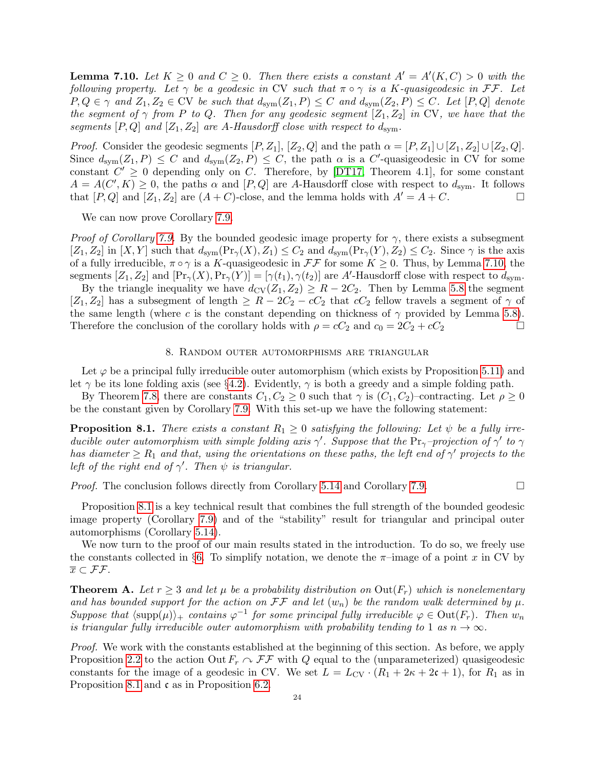<span id="page-23-0"></span>**Lemma 7.10.** Let  $K \geq 0$  and  $C \geq 0$ . Then there exists a constant  $A' = A'(K, C) > 0$  with the following property. Let  $\gamma$  be a geodesic in CV such that  $\pi \circ \gamma$  is a K-quasigeodesic in FF. Let  $P, Q \in \gamma$  and  $Z_1, Z_2 \in \mathbb{C}V$  be such that  $d_{sym}(Z_1, P) \leq C$  and  $d_{sym}(Z_2, P) \leq C$ . Let  $[P, Q]$  denote the segment of  $\gamma$  from P to Q. Then for any geodesic segment  $[Z_1, Z_2]$  in CV, we have that the segments  $[P,Q]$  and  $[Z_1, Z_2]$  are A-Hausdorff close with respect to  $d_{sym}$ .

*Proof.* Consider the geodesic segments  $[P, Z_1], [Z_2, Q]$  and the path  $\alpha = [P, Z_1] \cup [Z_1, Z_2] \cup [Z_2, Q]$ . Since  $d_{sym}(Z_1, P) \leq C$  and  $d_{sym}(Z_2, P) \leq C$ , the path  $\alpha$  is a C'-quasigeodesic in CV for some constant  $C' \geq 0$  depending only on C. Therefore, by [\[DT17,](#page-25-7) Theorem 4.1], for some constant  $A = A(C', K) \geq 0$ , the paths  $\alpha$  and  $[P, Q]$  are A-Hausdorff close with respect to  $d_{sym}$ . It follows that  $[P,Q]$  and  $[Z_1, Z_2]$  are  $(A+C)$ -close, and the lemma holds with  $A'=A+C$ .

We can now prove Corollary [7.9.](#page-22-0)

*Proof of Corollary [7.9.](#page-22-0)* By the bounded geodesic image property for  $\gamma$ , there exists a subsegment  $[Z_1, Z_2]$  in  $[X, Y]$  such that  $d_{sym}(\Pr_Y(X), Z_1) \leq C_2$  and  $d_{sym}(\Pr_Y(Y), Z_2) \leq C_2$ . Since  $\gamma$  is the axis of a fully irreducible,  $\pi \circ \gamma$  is a K-quasigeodesic in  $\mathcal{F}\mathcal{F}$  for some  $K \geq 0$ . Thus, by Lemma [7.10,](#page-23-0) the segments  $[Z_1, Z_2]$  and  $[\Pr_\gamma(X), \Pr_\gamma(Y)] = [\gamma(t_1), \gamma(t_2)]$  are A'-Hausdorff close with respect to  $d_{\text{sym}}$ .

By the triangle inequality we have  $d_{\text{CV}}(Z_1, Z_2) \geq R - 2C_2$ . Then by Lemma [5.8](#page-14-0) the segment  $[Z_1, Z_2]$  has a subsegment of length  $\geq R - 2C_2 - cC_2$  that  $cC_2$  fellow travels a segment of  $\gamma$  of the same length (where c is the constant depending on thickness of  $\gamma$  provided by Lemma [5.8\)](#page-14-0). Therefore the conclusion of the corollary holds with  $\rho = cC_2$  and  $c_0 = 2C_2 + cC_2$ 

## 8. Random outer automorphisms are triangular

Let  $\varphi$  be a principal fully irreducible outer automorphism (which exists by Proposition [5.11\)](#page-16-1) and let  $\gamma$  be its lone folding axis (see §[4.2\)](#page-10-0). Evidently,  $\gamma$  is both a greedy and a simple folding path.

By Theorem [7.8,](#page-21-0) there are constants  $C_1, C_2 \geq 0$  such that  $\gamma$  is  $(C_1, C_2)$ –contracting. Let  $\rho \geq 0$ be the constant given by Corollary [7.9.](#page-22-0) With this set-up we have the following statement:

<span id="page-23-1"></span>**Proposition 8.1.** There exists a constant  $R_1 \geq 0$  satisfying the following: Let  $\psi$  be a fully irreducible outer automorphism with simple folding axis  $\gamma'$ . Suppose that the Pr<sub> $\gamma$ </sub>-projection of  $\gamma'$  to  $\gamma$ has diameter  $\geq R_1$  and that, using the orientations on these paths, the left end of  $\gamma'$  projects to the left of the right end of  $\gamma'$ . Then  $\psi$  is triangular.

*Proof.* The conclusion follows directly from Corollary [5.14](#page-17-1) and Corollary [7.9.](#page-22-0)  $\Box$ 

Proposition [8.1](#page-23-1) is a key technical result that combines the full strength of the bounded geodesic image property (Corollary [7.9\)](#page-22-0) and of the "stability" result for triangular and principal outer automorphisms (Corollary [5.14\)](#page-17-1).

We now turn to the proof of our main results stated in the introduction. To do so, we freely use the constants collected in §[6.](#page-17-0) To simplify notation, we denote the  $\pi$ -image of a point x in CV by  $\overline{x} \subset \mathcal{F}\mathcal{F}.$ 

<span id="page-23-2"></span>**Theorem A.** Let  $r \geq 3$  and let  $\mu$  be a probability distribution on  $Out(F_r)$  which is nonelementary and has bounded support for the action on  $\mathcal{F}\mathcal{F}$  and let  $(w_n)$  be the random walk determined by  $\mu$ . Suppose that  $\langle \text{supp}(\mu) \rangle_+$  contains  $\varphi^{-1}$  for some principal fully irreducible  $\varphi \in \text{Out}(F_r)$ . Then  $w_n$ is triangular fully irreducible outer automorphism with probability tending to 1 as  $n \to \infty$ .

Proof. We work with the constants established at the beginning of this section. As before, we apply Proposition [2.2](#page-5-1) to the action Out  $F_r \curvearrowright \mathcal{FF}$  with Q equal to the (unparameterized) quasigeodesic constants for the image of a geodesic in CV. We set  $L = L_{CV} \cdot (R_1 + 2\kappa + 2\mathfrak{c} + 1)$ , for  $R_1$  as in Proposition [8.1](#page-23-1) and c as in Proposition [6.2.](#page-18-1)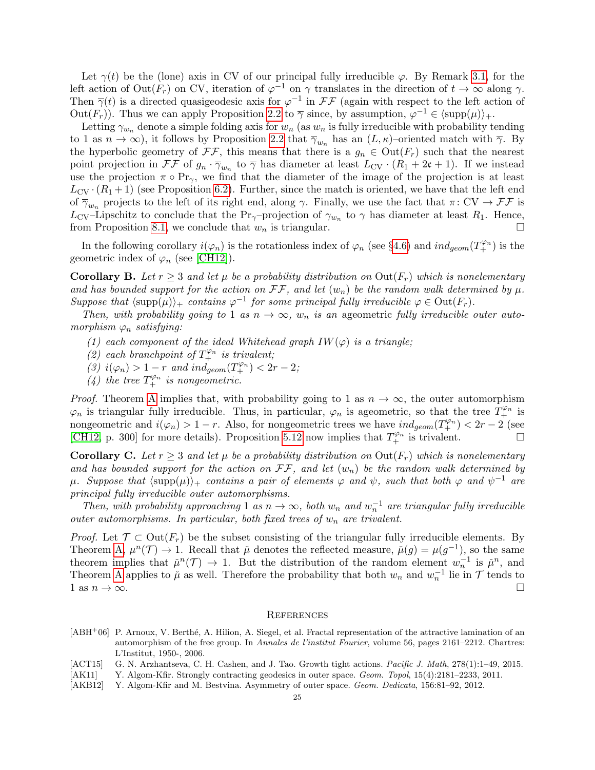Let  $\gamma(t)$  be the (lone) axis in CV of our principal fully irreducible  $\varphi$ . By Remark [3.1,](#page-8-0) for the left action of  $Out(F_r)$  on CV, iteration of  $\varphi^{-1}$  on  $\gamma$  translates in the direction of  $t \to \infty$  along  $\gamma$ . Then  $\overline{\gamma}(t)$  is a directed quasigeodesic axis for  $\varphi^{-1}$  in  $\mathcal{F}\mathcal{F}$  (again with respect to the left action of Out $(F_r)$ . Thus we can apply Proposition [2.2](#page-5-1) to  $\overline{\gamma}$  since, by assumption,  $\varphi^{-1} \in \langle \text{supp}(\mu) \rangle_+$ .

Letting  $\gamma_{w_n}$  denote a simple folding axis for  $w_n$  (as  $w_n$  is fully irreducible with probability tending to 1 as  $n \to \infty$ ), it follows by Proposition [2.2](#page-5-1) that  $\overline{\gamma}_{w_n}$  has an  $(L, \kappa)$ -oriented match with  $\overline{\gamma}$ . By the hyperbolic geometry of  $\mathcal{F}\mathcal{F}$ , this means that there is a  $g_n \in \text{Out}(F_r)$  such that the nearest point projection in  $\mathcal{F}\mathcal{F}$  of  $g_n \cdot \overline{\gamma}_{w_n}$  to  $\overline{\gamma}$  has diameter at least  $L_{CV} \cdot (R_1 + 2\mathfrak{c} + 1)$ . If we instead use the projection  $\pi \circ Pr_{\gamma}$ , we find that the diameter of the image of the projection is at least  $L_{\text{CV}} \cdot (R_1 + 1)$  (see Proposition [6.2\)](#page-18-1). Further, since the match is oriented, we have that the left end of  $\overline{\gamma}_{w_n}$  projects to the left of its right end, along  $\gamma$ . Finally, we use the fact that  $\pi: CV \to \mathcal{FF}$  is L<sub>CV</sub>–Lipschitz to conclude that the Pr<sub> $\gamma$ </sub>–projection of  $\gamma_{w_n}$  to  $\gamma$  has diameter at least  $R_1$ . Hence, from Proposition [8.1,](#page-23-1) we conclude that  $w_n$  is triangular.

In the following corollary  $i(\varphi_n)$  is the rotationless index of  $\varphi_n$  (see §[4.6\)](#page-12-1) and  $ind_{geom}(T^{\varphi_n}_+)$  is the geometric index of  $\varphi_n$  (see [\[CH12\]](#page-25-30)).

**Corollary B.** Let  $r \geq 3$  and let  $\mu$  be a probability distribution on  $Out(F_r)$  which is nonelementary and has bounded support for the action on  $\mathcal{F}\mathcal{F}$ , and let  $(w_n)$  be the random walk determined by  $\mu$ . Suppose that  $\langle \text{supp}(\mu) \rangle_+$  contains  $\varphi^{-1}$  for some principal fully irreducible  $\varphi \in \text{Out}(F_r)$ .

Then, with probability going to 1 as  $n \to \infty$ ,  $w_n$  is an ageometric fully irreducible outer automorphism  $\varphi_n$  satisfying:

- (1) each component of the ideal Whitehead graph  $IW(\varphi)$  is a triangle;
- (2) each branchpoint of  $T_{+}^{\varphi_n}$  is trivalent;
- (3)  $i(\varphi_n) > 1-r$  and  $ind_{geom}(T_+^{\varphi_n}) < 2r-2$ ;
- (4) the tree  $T_+^{\varphi_n}$  is nongeometric.

*Proof.* Theorem [A](#page-23-2) implies that, with probability going to 1 as  $n \to \infty$ , the outer automorphism  $\varphi_n$  is triangular fully irreducible. Thus, in particular,  $\varphi_n$  is ageometric, so that the tree  $T_+^{\varphi_n}$  is nongeometric and  $i(\varphi_n) > 1 - r$ . Also, for nongeometric trees we have  $ind_{geom}(T^{\varphi_n}_+) < 2r - 2$  (see [\[CH12,](#page-25-30) p. 300] for more details). Proposition [5.12](#page-16-2) now implies that  $T_+^{\varphi_n}$  is trivalent.

**Corollary C.** Let  $r > 3$  and let  $\mu$  be a probability distribution on  $Out(F_r)$  which is nonelementary and has bounded support for the action on  $\mathcal{F}\mathcal{F}$ , and let  $(w_n)$  be the random walk determined by  $\mu$ . Suppose that  $\langle \text{supp}(\mu) \rangle_+$  contains a pair of elements  $\varphi$  and  $\psi$ , such that both  $\varphi$  and  $\psi^{-1}$  are principal fully irreducible outer automorphisms.

Then, with probability approaching 1 as  $n \to \infty$ , both  $w_n$  and  $w_n^{-1}$  are triangular fully irreducible outer automorphisms. In particular, both fixed trees of  $w_n$  are trivalent.

*Proof.* Let  $\mathcal{T} \subset \text{Out}(F_r)$  be the subset consisting of the triangular fully irreducible elements. By Theorem [A,](#page-23-2)  $\mu^n(\mathcal{T}) \to 1$ . Recall that  $\check{\mu}$  denotes the reflected measure,  $\check{\mu}(g) = \mu(g^{-1})$ , so the same theorem implies that  $\check{\mu}^n(\mathcal{T}) \to 1$ . But the distribution of the random element  $w_n^{-1}$  is  $\check{\mu}^n$ , and Theorem [A](#page-23-2) applies to  $\mu$  as well. Therefore the probability that both  $w_n$  and  $w_n^{-1}$  lie in  $\mathcal T$  tends to 1 as  $n \to \infty$ .

#### **REFERENCES**

- <span id="page-24-1"></span>[ABH<sup>+</sup>06] P. Arnoux, V. Berth´e, A. Hilion, A. Siegel, et al. Fractal representation of the attractive lamination of an automorphism of the free group. In Annales de l'institut Fourier, volume 56, pages  $2161-2212$ . Chartres: L'Institut, 1950-, 2006.
- <span id="page-24-3"></span>[ACT15] G. N. Arzhantseva, C. H. Cashen, and J. Tao. Growth tight actions. *Pacific J. Math*, 278(1):1–49, 2015.
- <span id="page-24-0"></span>[AK11] Y. Algom-Kfir. Strongly contracting geodesics in outer space. Geom. Topol, 15(4):2181–2233, 2011.
- <span id="page-24-2"></span>[AKB12] Y. Algom-Kfir and M. Bestvina. Asymmetry of outer space. Geom. Dedicata, 156:81–92, 2012.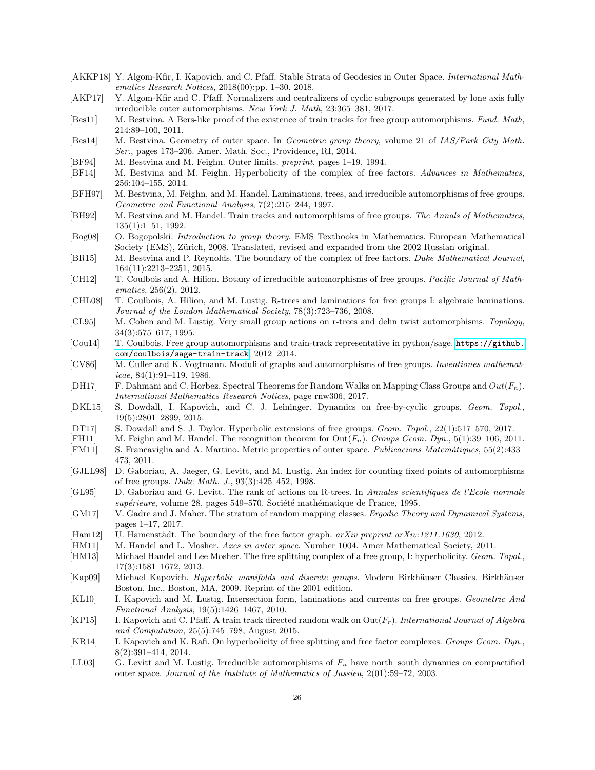- <span id="page-25-6"></span>[AKKP18] Y. Algom-Kfir, I. Kapovich, and C. Pfaff. Stable Strata of Geodesics in Outer Space. International Mathematics Research Notices, 2018(00):pp. 1–30, 2018.
- <span id="page-25-8"></span>[AKP17] Y. Algom-Kfir and C. Pfaff. Normalizers and centralizers of cyclic subgroups generated by lone axis fully irreducible outer automorphisms. New York J. Math, 23:365–381, 2017.
- <span id="page-25-19"></span> $[Best1]$  M. Bestvina. A Bers-like proof of the existence of train tracks for free group automorphisms. Fund. Math, 214:89–100, 2011.
- <span id="page-25-15"></span>[Bes14] M. Bestvina. Geometry of outer space. In Geometric group theory, volume 21 of IAS/Park City Math. Ser., pages 173–206. Amer. Math. Soc., Providence, RI, 2014.
- <span id="page-25-16"></span>[BF94] M. Bestvina and M. Feighn. Outer limits. preprint, pages 1–19, 1994.
- <span id="page-25-5"></span>[BF14] M. Bestvina and M. Feighn. Hyperbolicity of the complex of free factors. Advances in Mathematics, 256:104–155, 2014.
- <span id="page-25-23"></span>[BFH97] M. Bestvina, M. Feighn, and M. Handel. Laminations, trees, and irreducible automorphisms of free groups. Geometric and Functional Analysis, 7(2):215–244, 1997.
- <span id="page-25-12"></span>[BH92] M. Bestvina and M. Handel. Train tracks and automorphisms of free groups. The Annals of Mathematics, 135(1):1–51, 1992.
- <span id="page-25-18"></span>[Bog08] O. Bogopolski. Introduction to group theory. EMS Textbooks in Mathematics. European Mathematical Society (EMS), Zürich, 2008. Translated, revised and expanded from the 2002 Russian original.
- <span id="page-25-26"></span>[BR15] M. Bestvina and P. Reynolds. The boundary of the complex of free factors. Duke Mathematical Journal, 164(11):2213–2251, 2015.
- <span id="page-25-30"></span>[CH12] T. Coulbois and A. Hilion. Botany of irreducible automorphisms of free groups. Pacific Journal of Mathematics, 256(2), 2012.
- <span id="page-25-24"></span>[CHL08] T. Coulbois, A. Hilion, and M. Lustig. R-trees and laminations for free groups I: algebraic laminations. Journal of the London Mathematical Society, 78(3):723–736, 2008.
- <span id="page-25-17"></span>[CL95] M. Cohen and M. Lustig. Very small group actions on r-trees and dehn twist automorphisms. Topology, 34(3):575–617, 1995.
- <span id="page-25-10"></span>[Cou14] T. Coulbois. Free group automorphisms and train-track representative in python/sage. [https://github.](https://github.com/coulbois/sage-train-track) [com/coulbois/sage-train-track](https://github.com/coulbois/sage-train-track), 2012–2014.
- <span id="page-25-13"></span>[CV86] M. Culler and K. Vogtmann. Moduli of graphs and automorphisms of free groups. Inventiones mathemat $i$ cae, 84(1):91-119, 1986.
- <span id="page-25-11"></span>[DH17] F. Dahmani and C. Horbez. Spectral Theorems for Random Walks on Mapping Class Groups and  $Out(F_n)$ . International Mathematics Research Notices, page rnw306, 2017.
- <span id="page-25-20"></span>[DKL15] S. Dowdall, I. Kapovich, and C. J. Leininger. Dynamics on free-by-cyclic groups. Geom. Topol., 19(5):2801–2899, 2015.
- <span id="page-25-7"></span>[DT17] S. Dowdall and S. J. Taylor. Hyperbolic extensions of free groups. Geom. Topol., 22(1):517–570, 2017.
- <span id="page-25-22"></span>[FH11] M. Feighn and M. Handel. The recognition theorem for  $Out(F_n)$ . Groups Geom. Dyn., 5(1):39–106, 2011.
- <span id="page-25-14"></span>[FM11] S. Francaviglia and A. Martino. Metric properties of outer space. Publicacions Matem`atiques, 55(2):433– 473, 2011.
- <span id="page-25-3"></span>[GJLL98] D. Gaboriau, A. Jaeger, G. Levitt, and M. Lustig. An index for counting fixed points of automorphisms of free groups. Duke Math. J., 93(3):425–452, 1998.
- <span id="page-25-2"></span>[GL95] D. Gaboriau and G. Levitt. The rank of actions on R-trees. In Annales scientifiques de l'Ecole normale supérieure, volume 28, pages 549–570. Société mathématique de France, 1995.
- <span id="page-25-0"></span>[GM17] V. Gadre and J. Maher. The stratum of random mapping classes. Ergodic Theory and Dynamical Systems, pages 1–17, 2017.
- <span id="page-25-29"></span>[Ham12] U. Hamenstädt. The boundary of the free factor graph. arXiv preprint arXiv:1211.1630, 2012.
- <span id="page-25-4"></span>[HM11] M. Handel and L. Mosher. Axes in outer space. Number 1004. Amer Mathematical Society, 2011.
- <span id="page-25-28"></span>[HM13] Michael Handel and Lee Mosher. The free splitting complex of a free group, I: hyperbolicity. Geom. Topol., 17(3):1581–1672, 2013.
- <span id="page-25-1"></span>[Kap09] Michael Kapovich. Hyperbolic manifolds and discrete groups. Modern Birkhäuser Classics. Birkhäuser Boston, Inc., Boston, MA, 2009. Reprint of the 2001 edition.
- <span id="page-25-25"></span>[KL10] I. Kapovich and M. Lustig. Intersection form, laminations and currents on free groups. Geometric And Functional Analysis, 19(5):1426–1467, 2010.
- <span id="page-25-9"></span>[KP15] I. Kapovich and C. Pfaff. A train track directed random walk on  $Out(F_r)$ . International Journal of Algebra and Computation, 25(5):745–798, August 2015.
- <span id="page-25-27"></span>[KR14] I. Kapovich and K. Rafi. On hyperbolicity of free splitting and free factor complexes. Groups Geom. Dyn., 8(2):391–414, 2014.
- <span id="page-25-21"></span>[LL03] G. Levitt and M. Lustig. Irreducible automorphisms of  $F_n$  have north–south dynamics on compactified outer space. Journal of the Institute of Mathematics of Jussieu, 2(01):59–72, 2003.